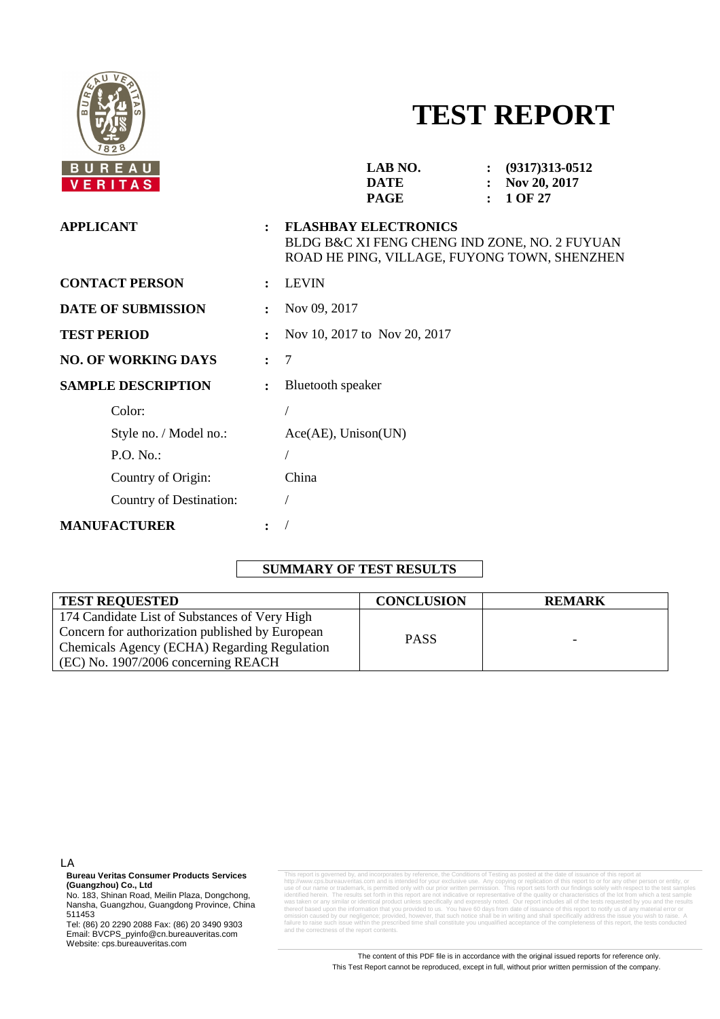

# **TEST REPORT**

| BUREAU<br><b>VERITAS</b>   |                              | LAB NO.<br>$(9317)313 - 0512$<br>$\ddot{\phantom{a}}$<br><b>DATE</b><br>Nov 20, 2017<br>1 OF 27<br><b>PAGE</b>               |  |  |  |
|----------------------------|------------------------------|------------------------------------------------------------------------------------------------------------------------------|--|--|--|
| <b>APPLICANT</b>           |                              | <b>FLASHBAY ELECTRONICS</b><br>BLDG B&C XI FENG CHENG IND ZONE, NO. 2 FUYUAN<br>ROAD HE PING, VILLAGE, FUYONG TOWN, SHENZHEN |  |  |  |
| <b>CONTACT PERSON</b>      |                              | <b>LEVIN</b>                                                                                                                 |  |  |  |
| <b>DATE OF SUBMISSION</b>  | Nov 09, 2017                 |                                                                                                                              |  |  |  |
| <b>TEST PERIOD</b>         | Nov 10, 2017 to Nov 20, 2017 |                                                                                                                              |  |  |  |
| <b>NO. OF WORKING DAYS</b> | 7<br>$\ddot{\cdot}$          |                                                                                                                              |  |  |  |
| <b>SAMPLE DESCRIPTION</b>  | $\ddot{\cdot}$               | <b>Bluetooth</b> speaker                                                                                                     |  |  |  |
| Color:                     |                              |                                                                                                                              |  |  |  |
| Style no. / Model no.:     |                              | Ace(AE), Unison(UN)                                                                                                          |  |  |  |
| P.O. No.:                  |                              |                                                                                                                              |  |  |  |
| Country of Origin:         |                              | China                                                                                                                        |  |  |  |
| Country of Destination:    |                              |                                                                                                                              |  |  |  |
| <b>MANUFACTURER</b>        |                              |                                                                                                                              |  |  |  |
|                            |                              |                                                                                                                              |  |  |  |

## **SUMMARY OF TEST RESULTS**

| <b>TEST REQUESTED</b>                           | <b>CONCLUSION</b> | <b>REMARK</b> |
|-------------------------------------------------|-------------------|---------------|
| 174 Candidate List of Substances of Very High   |                   |               |
| Concern for authorization published by European | <b>PASS</b>       |               |
| Chemicals Agency (ECHA) Regarding Regulation    |                   | -             |
| $(CE)$ No. 1907/2006 concerning REACH           |                   |               |

LA

**Bureau Veritas Consumer Products Services (Guangzhou) Co., Ltd** 

No. 183, Shinan Road, Meilin Plaza, Dongchong, Nansha, Guangzhou, Guangdong Province, China 511453

Tel: (86) 20 2290 2088 Fax: (86) 20 3490 9303 Email: BVCPS\_pyinfo@cn.bureauveritas.com Website: cps.bureauveritas.com

This report is governed by, and incorporates by reference, the Conditions of Testing as posted at the date of issuance of this report at http://www.cps.bureauveritas.com and is intended for your exclusive use. Any copying or replication of this report to or for any other person or entity, or<br>use of our name or trademark, is permitted only with our prior wri identified herein. The results set forth in this report are not indicative or representative of the quality or characteristics of the lot from which a test sample was taken or any similar or identical product unless specifically and expressly noted. Our report includes all of the tests requested by you and the results of the information that you provided to us. You have 60 days from date of issuance of this report to notify us of a<br>by our negligence: provided bowever that such potice shall he in writing and shall specifically address th writing and shall specifi failure to raise such issue within the prescribed time shall constitute you unqualified acceptance of the completeness of this report, the tests conducted and the correctness of the report contents.

> The content of this PDF file is in accordance with the original issued reports for reference only. This Test Report cannot be reproduced, except in full, without prior written permission of the company.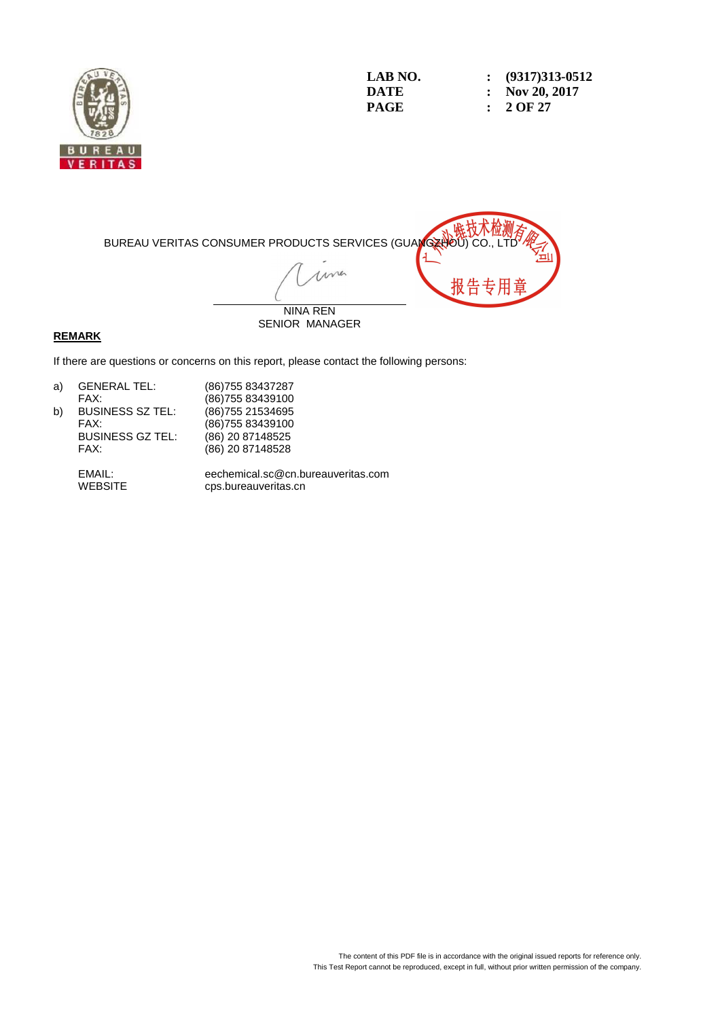

**LAB NO.** : (9317)313-0512<br> **DATE** : Nov 20, 2017 **DATE : Nov 20, 2017 PAGE : 2 OF 27** 



#### **REMARK**

If there are questions or concerns on this report, please contact the following persons:

| a) | <b>GENERAL TEL:</b>     | (86) 755 83437287 |
|----|-------------------------|-------------------|
|    | FAX:                    | (86) 755 83439100 |
| b) | <b>BUSINESS SZ TEL:</b> | (86) 755 21534695 |
|    | FAX:                    | (86) 755 83439100 |
|    | <b>BUSINESS GZ TEL:</b> | (86) 20 87148525  |
|    | FAX:                    | (86) 20 87148528  |

 EMAIL: eechemical.sc@cn.bureauveritas.com cps.bureauveritas.cn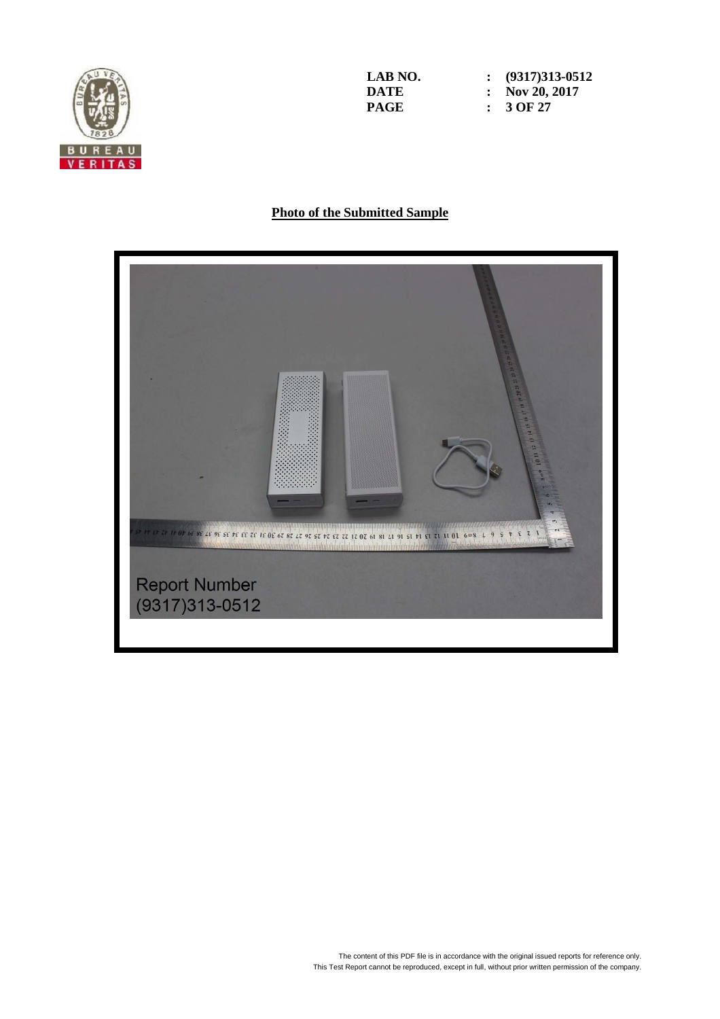

**LAB NO. : (9317)313-0512 DATE : Nov 20, 2017**<br>**PAGE :** 3 OF 27 **PAGE : 3 OF 27** 

## **Photo of the Submitted Sample**

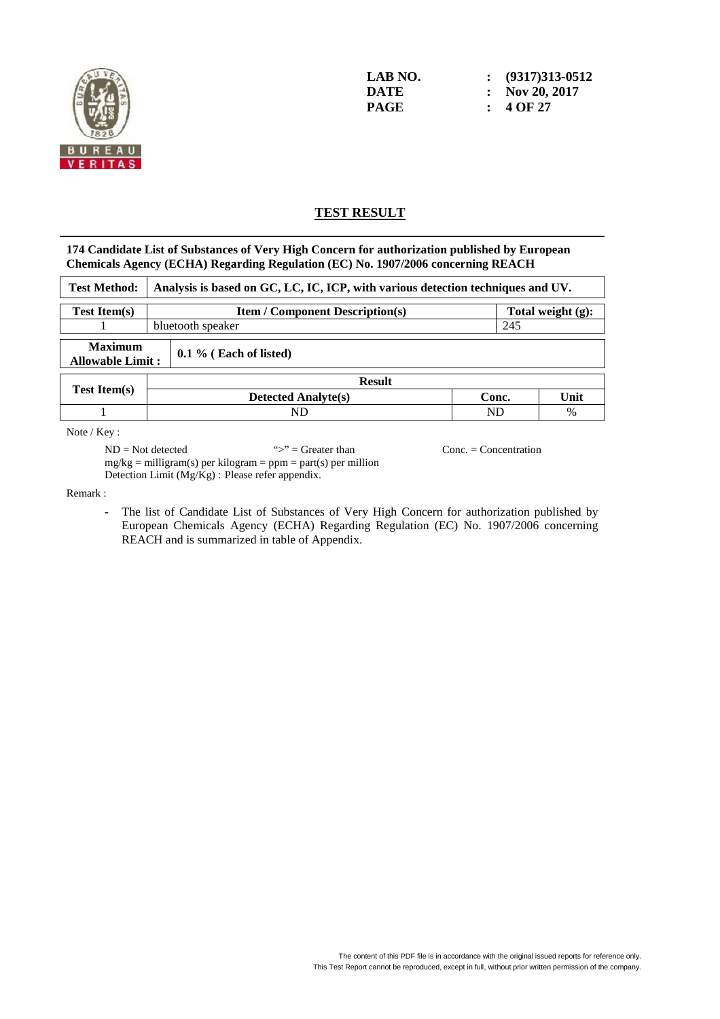

### **TEST RESULT**

**174 Candidate List of Substances of Very High Concern for authorization published by European Chemicals Agency (ECHA) Regarding Regulation (EC) No. 1907/2006 concerning REACH** 

| <b>Test Method:</b>                                                   |  | Analysis is based on GC, LC, IC, ICP, with various detection techniques and UV. |       |  |      |  |  |
|-----------------------------------------------------------------------|--|---------------------------------------------------------------------------------|-------|--|------|--|--|
| <b>Test Item(s)</b>                                                   |  | <b>Item / Component Description(s)</b><br>Total weight $(g)$ :                  |       |  |      |  |  |
|                                                                       |  | 245<br>bluetooth speaker                                                        |       |  |      |  |  |
| <b>Maximum</b><br>$0.1\%$ (Each of listed)<br><b>Allowable Limit:</b> |  |                                                                                 |       |  |      |  |  |
|                                                                       |  | <b>Result</b>                                                                   |       |  |      |  |  |
| <b>Test Item(s)</b>                                                   |  | <b>Detected Analyte(s)</b>                                                      | Conc. |  | Unit |  |  |
|                                                                       |  | ND<br>ND<br>$\%$                                                                |       |  |      |  |  |
|                                                                       |  |                                                                                 |       |  |      |  |  |

Note / Key :

 $ND = Not detected$  ">" = Greater than Conc. = Concentration  $mg/kg =$  milligram(s) per kilogram = ppm = part(s) per million Detection Limit (Mg/Kg) : Please refer appendix.

Remark :

- The list of Candidate List of Substances of Very High Concern for authorization published by European Chemicals Agency (ECHA) Regarding Regulation (EC) No. 1907/2006 concerning REACH and is summarized in table of Appendix.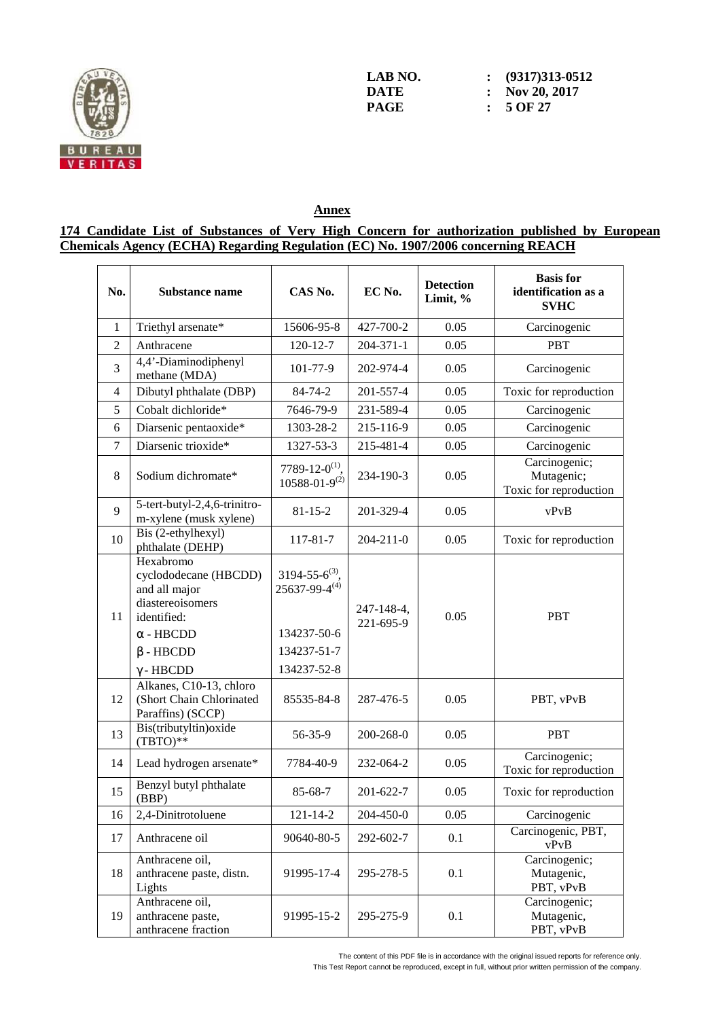

**LAB NO.** : (9317)313-0512<br> **DATE** : Nov 20, 2017 **DATE : Nov 20, 2017 PAGE : 5 OF 27** 

## **Annex**

### **174 Candidate List of Substances of Very High Concern for authorization published by European Chemicals Agency (ECHA) Regarding Regulation (EC) No. 1907/2006 concerning REACH**

| No.            | <b>Substance name</b>                                                                                                                             | CAS No.                                                                                      | EC No.                  | <b>Detection</b><br>Limit, % | <b>Basis</b> for<br>identification as a<br><b>SVHC</b> |
|----------------|---------------------------------------------------------------------------------------------------------------------------------------------------|----------------------------------------------------------------------------------------------|-------------------------|------------------------------|--------------------------------------------------------|
| $\mathbf{1}$   | Triethyl arsenate*                                                                                                                                | 15606-95-8                                                                                   | 427-700-2               | 0.05                         | Carcinogenic                                           |
| $\overline{2}$ | Anthracene                                                                                                                                        | 120-12-7                                                                                     | $204 - 371 - 1$         | 0.05                         | <b>PBT</b>                                             |
| 3              | 4,4'-Diaminodiphenyl<br>methane (MDA)                                                                                                             | 101-77-9                                                                                     | 202-974-4               | 0.05                         | Carcinogenic                                           |
| $\overline{4}$ | Dibutyl phthalate (DBP)                                                                                                                           | 84-74-2                                                                                      | 201-557-4               | 0.05                         | Toxic for reproduction                                 |
| 5              | Cobalt dichloride*                                                                                                                                | 7646-79-9                                                                                    | 231-589-4               | 0.05                         | Carcinogenic                                           |
| 6              | Diarsenic pentaoxide*                                                                                                                             | 1303-28-2                                                                                    | 215-116-9               | 0.05                         | Carcinogenic                                           |
| $\overline{7}$ | Diarsenic trioxide*                                                                                                                               | 1327-53-3                                                                                    | 215-481-4               | 0.05                         | Carcinogenic                                           |
| 8              | Sodium dichromate*                                                                                                                                | 7789-12-0 <sup>(1)</sup> .<br>$10588 - 01 - 9^{(2)}$                                         | 234-190-3               | 0.05                         | Carcinogenic;<br>Mutagenic;<br>Toxic for reproduction  |
| 9              | 5-tert-butyl-2,4,6-trinitro-<br>m-xylene (musk xylene)                                                                                            | $81 - 15 - 2$                                                                                | 201-329-4               | 0.05                         | vPvB                                                   |
| 10             | Bis (2-ethylhexyl)<br>phthalate (DEHP)                                                                                                            | 117-81-7                                                                                     | $204 - 211 - 0$         | 0.05                         | Toxic for reproduction                                 |
| 11             | Hexabromo<br>cyclododecane (HBCDD)<br>and all major<br>diastereoisomers<br>identified:<br>$\alpha$ - HBCDD<br>$\beta$ - HBCDD<br>$\gamma$ - HBCDD | $3194 - 55 - 6^{(3)}$<br>$25637 - 99 - 4^{(4)}$<br>134237-50-6<br>134237-51-7<br>134237-52-8 | 247-148-4,<br>221-695-9 | 0.05                         | <b>PBT</b>                                             |
| 12             | Alkanes, C10-13, chloro<br>(Short Chain Chlorinated<br>Paraffins) (SCCP)                                                                          | 85535-84-8                                                                                   | 287-476-5               | 0.05                         | PBT, vPvB                                              |
| 13             | Bis(tributyltin) oxide<br>$(TBTO)**$                                                                                                              | 56-35-9                                                                                      | 200-268-0               | 0.05                         | <b>PBT</b>                                             |
| 14             | Lead hydrogen arsenate*                                                                                                                           | 7784-40-9                                                                                    | 232-064-2               | 0.05                         | Carcinogenic;<br>Toxic for reproduction                |
| 15             | Benzyl butyl phthalate<br>(BBP)                                                                                                                   | 85-68-7                                                                                      | 201-622-7               | 0.05                         | Toxic for reproduction                                 |
| 16             | 2,4-Dinitrotoluene                                                                                                                                | $121 - 14 - 2$                                                                               | 204-450-0               | 0.05                         | Carcinogenic                                           |
| 17             | Anthracene oil                                                                                                                                    | 90640-80-5                                                                                   | 292-602-7               | 0.1                          | Carcinogenic, PBT,<br>vPvB                             |
| 18             | Anthracene oil,<br>anthracene paste, distn.<br>Lights                                                                                             | 91995-17-4                                                                                   | 295-278-5               | 0.1                          | Carcinogenic;<br>Mutagenic,<br>PBT, vPvB               |
| 19             | Anthracene oil,<br>anthracene paste,<br>anthracene fraction                                                                                       | 91995-15-2                                                                                   | 295-275-9               | 0.1                          | Carcinogenic;<br>Mutagenic,<br>PBT, vPvB               |

The content of this PDF file is in accordance with the original issued reports for reference only.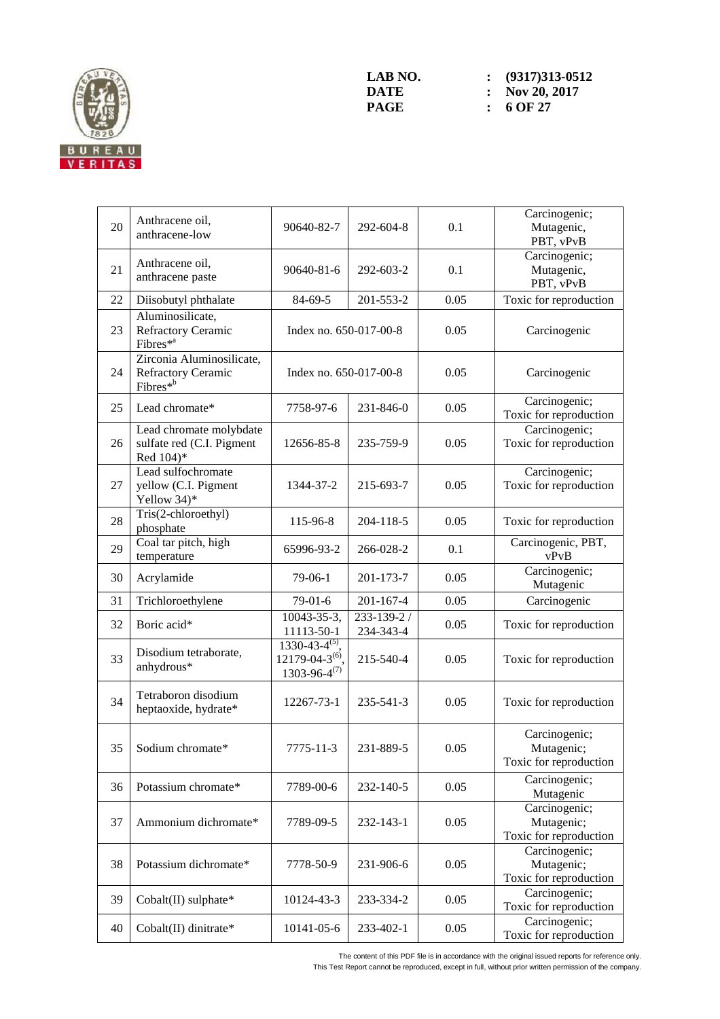

| 20 | Anthracene oil,<br>anthracene-low                                 | 90640-82-7                                                             | 292-604-8                | 0.1  | Carcinogenic;<br>Mutagenic,<br>PBT, vPvB              |
|----|-------------------------------------------------------------------|------------------------------------------------------------------------|--------------------------|------|-------------------------------------------------------|
| 21 | Anthracene oil,<br>anthracene paste                               | 90640-81-6                                                             | 292-603-2                | 0.1  | Carcinogenic;<br>Mutagenic,<br>PBT, vPvB              |
| 22 | Diisobutyl phthalate                                              | 84-69-5                                                                | 201-553-2                | 0.05 | Toxic for reproduction                                |
| 23 | Aluminosilicate,<br>Refractory Ceramic<br>Fibres <sup>*a</sup>    | Index no. 650-017-00-8                                                 |                          | 0.05 | Carcinogenic                                          |
| 24 | Zirconia Aluminosilicate,<br>Refractory Ceramic<br>Fibres*b       | Index no. 650-017-00-8                                                 |                          | 0.05 | Carcinogenic                                          |
| 25 | Lead chromate*                                                    | 7758-97-6                                                              | 231-846-0                | 0.05 | Carcinogenic;<br>Toxic for reproduction               |
| 26 | Lead chromate molybdate<br>sulfate red (C.I. Pigment<br>Red 104)* | 12656-85-8                                                             | 235-759-9                | 0.05 | Carcinogenic;<br>Toxic for reproduction               |
| 27 | Lead sulfochromate<br>yellow (C.I. Pigment<br>Yellow 34)*         | 1344-37-2                                                              | 215-693-7                | 0.05 | Carcinogenic;<br>Toxic for reproduction               |
| 28 | Tris(2-chloroethyl)<br>phosphate                                  | 115-96-8                                                               | 204-118-5                | 0.05 | Toxic for reproduction                                |
| 29 | Coal tar pitch, high<br>temperature                               | 65996-93-2                                                             | 266-028-2                | 0.1  | Carcinogenic, PBT,<br>vPvB                            |
| 30 | Acrylamide                                                        | $79-06-1$                                                              | 201-173-7                | 0.05 | Carcinogenic;<br>Mutagenic                            |
| 31 | Trichloroethylene                                                 | $79-01-6$                                                              | $201 - 167 - 4$          | 0.05 | Carcinogenic                                          |
| 32 | Boric acid*                                                       | 10043-35-3,<br>11113-50-1                                              | 233-139-2 /<br>234-343-4 | 0.05 | Toxic for reproduction                                |
| 33 | Disodium tetraborate,<br>anhydrous*                               | $1330-43-4^{(5)}$ ,<br>$12179 - 04 - 3^{(6)}$<br>$1303 - 96 - 4^{(7)}$ | 215-540-4                | 0.05 | Toxic for reproduction                                |
| 34 | Tetraboron disodium<br>heptaoxide, hydrate*                       | 12267-73-1                                                             | 235-541-3                | 0.05 | Toxic for reproduction                                |
| 35 | Sodium chromate*                                                  | $7775 - 11 - 3$                                                        | 231-889-5                | 0.05 | Carcinogenic;<br>Mutagenic;<br>Toxic for reproduction |
| 36 | Potassium chromate*                                               | 7789-00-6                                                              | 232-140-5                | 0.05 | Carcinogenic;<br>Mutagenic                            |
| 37 | Ammonium dichromate*                                              | 7789-09-5                                                              | 232-143-1                | 0.05 | Carcinogenic;<br>Mutagenic;<br>Toxic for reproduction |
| 38 | Potassium dichromate*                                             | 7778-50-9                                                              | 231-906-6                | 0.05 | Carcinogenic;<br>Mutagenic;<br>Toxic for reproduction |
| 39 | Cobalt(II) sulphate*                                              | 10124-43-3                                                             | 233-334-2                | 0.05 | Carcinogenic;<br>Toxic for reproduction               |
| 40 | Cobalt(II) dinitrate*                                             | 10141-05-6                                                             | 233-402-1                | 0.05 | Carcinogenic;<br>Toxic for reproduction               |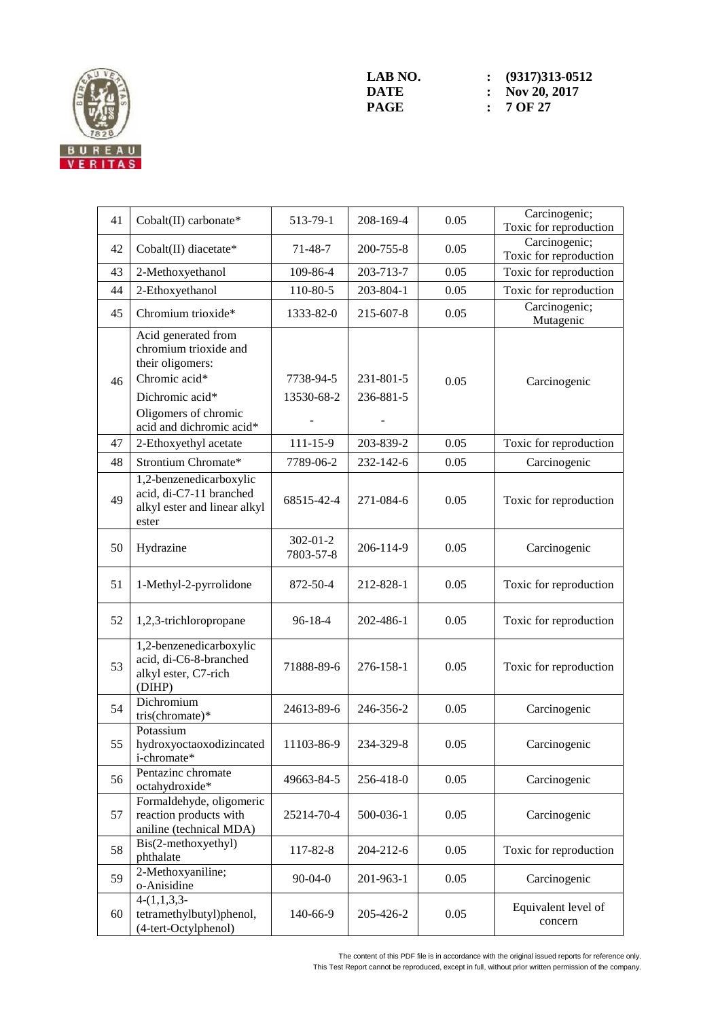

| 41 | Cobalt(II) carbonate*                                                                                                                                    | 513-79-1                    | 208-169-4              | 0.05 | Carcinogenic;<br>Toxic for reproduction |
|----|----------------------------------------------------------------------------------------------------------------------------------------------------------|-----------------------------|------------------------|------|-----------------------------------------|
| 42 | Cobalt(II) diacetate*                                                                                                                                    | $71 - 48 - 7$               | 200-755-8              | 0.05 | Carcinogenic;<br>Toxic for reproduction |
| 43 | 2-Methoxyethanol                                                                                                                                         | 109-86-4                    | 203-713-7              | 0.05 | Toxic for reproduction                  |
| 44 | 2-Ethoxyethanol                                                                                                                                          | 110-80-5                    | 203-804-1              | 0.05 | Toxic for reproduction                  |
| 45 | Chromium trioxide*                                                                                                                                       | 1333-82-0                   | 215-607-8              | 0.05 | Carcinogenic;<br>Mutagenic              |
| 46 | Acid generated from<br>chromium trioxide and<br>their oligomers:<br>Chromic acid*<br>Dichromic acid*<br>Oligomers of chromic<br>acid and dichromic acid* | 7738-94-5<br>13530-68-2     | 231-801-5<br>236-881-5 | 0.05 | Carcinogenic                            |
| 47 | 2-Ethoxyethyl acetate                                                                                                                                    | $111 - 15 - 9$              | 203-839-2              | 0.05 | Toxic for reproduction                  |
| 48 | Strontium Chromate*                                                                                                                                      | 7789-06-2                   | 232-142-6              | 0.05 | Carcinogenic                            |
| 49 | 1,2-benzenedicarboxylic<br>acid, di-C7-11 branched<br>alkyl ester and linear alkyl<br>ester                                                              | 68515-42-4                  | 271-084-6              | 0.05 | Toxic for reproduction                  |
| 50 | Hydrazine                                                                                                                                                | $302 - 01 - 2$<br>7803-57-8 | 206-114-9              | 0.05 | Carcinogenic                            |
| 51 | 1-Methyl-2-pyrrolidone                                                                                                                                   | 872-50-4                    | 212-828-1              | 0.05 | Toxic for reproduction                  |
| 52 | 1,2,3-trichloropropane                                                                                                                                   | $96 - 18 - 4$               | 202-486-1              | 0.05 | Toxic for reproduction                  |
| 53 | 1,2-benzenedicarboxylic<br>acid, di-C6-8-branched<br>alkyl ester, C7-rich<br>(DIHP)                                                                      | 71888-89-6                  | 276-158-1              | 0.05 | Toxic for reproduction                  |
| 54 | Dichromium<br>tris(chromate)*                                                                                                                            | 24613-89-6                  | 246-356-2              | 0.05 | Carcinogenic                            |
| 55 | Potassium<br>hydroxyoctaoxodizincated<br>i-chromate*                                                                                                     | 11103-86-9                  | 234-329-8              | 0.05 | Carcinogenic                            |
| 56 | Pentazinc chromate<br>octahydroxide*                                                                                                                     | 49663-84-5                  | 256-418-0              | 0.05 | Carcinogenic                            |
| 57 | Formaldehyde, oligomeric<br>reaction products with<br>aniline (technical MDA)                                                                            | 25214-70-4                  | 500-036-1              | 0.05 | Carcinogenic                            |
| 58 | Bis(2-methoxyethyl)<br>phthalate                                                                                                                         | 117-82-8                    | 204-212-6              | 0.05 | Toxic for reproduction                  |
| 59 | 2-Methoxyaniline;<br>o-Anisidine                                                                                                                         | $90 - 04 - 0$               | 201-963-1              | 0.05 | Carcinogenic                            |
| 60 | $4-(1,1,3,3-$<br>tetramethylbutyl)phenol,<br>(4-tert-Octylphenol)                                                                                        | 140-66-9                    | 205-426-2              | 0.05 | Equivalent level of<br>concern          |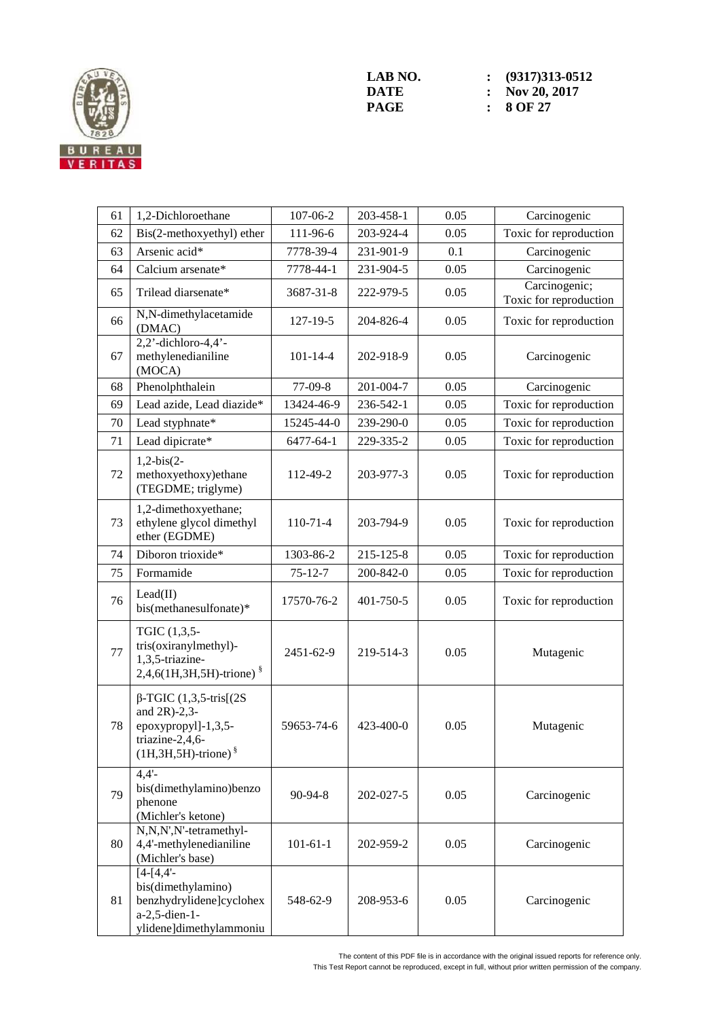

| 61 | 1,2-Dichloroethane                                                                                                         | 107-06-2       | 203-458-1 | 0.05 | Carcinogenic                            |
|----|----------------------------------------------------------------------------------------------------------------------------|----------------|-----------|------|-----------------------------------------|
| 62 | Bis(2-methoxyethyl) ether                                                                                                  | 111-96-6       | 203-924-4 | 0.05 | Toxic for reproduction                  |
| 63 | Arsenic acid*                                                                                                              | 7778-39-4      | 231-901-9 | 0.1  | Carcinogenic                            |
| 64 | Calcium arsenate*                                                                                                          | 7778-44-1      | 231-904-5 | 0.05 | Carcinogenic                            |
| 65 | Trilead diarsenate*                                                                                                        | 3687-31-8      | 222-979-5 | 0.05 | Carcinogenic;<br>Toxic for reproduction |
| 66 | N,N-dimethylacetamide<br>(DMAC)                                                                                            | 127-19-5       | 204-826-4 | 0.05 | Toxic for reproduction                  |
| 67 | $2,2$ <sup>'</sup> -dichloro-4,4 <sup>'</sup> -<br>methylenedianiline<br>(MOCA)                                            | $101 - 14 - 4$ | 202-918-9 | 0.05 | Carcinogenic                            |
| 68 | Phenolphthalein                                                                                                            | $77-09-8$      | 201-004-7 | 0.05 | Carcinogenic                            |
| 69 | Lead azide, Lead diazide*                                                                                                  | 13424-46-9     | 236-542-1 | 0.05 | Toxic for reproduction                  |
| 70 | Lead styphnate*                                                                                                            | 15245-44-0     | 239-290-0 | 0.05 | Toxic for reproduction                  |
| 71 | Lead dipicrate*                                                                                                            | 6477-64-1      | 229-335-2 | 0.05 | Toxic for reproduction                  |
| 72 | $1,2-bis(2-$<br>methoxyethoxy)ethane<br>(TEGDME; triglyme)                                                                 | 112-49-2       | 203-977-3 | 0.05 | Toxic for reproduction                  |
| 73 | 1,2-dimethoxyethane;<br>ethylene glycol dimethyl<br>ether (EGDME)                                                          | $110-71-4$     | 203-794-9 | 0.05 | Toxic for reproduction                  |
| 74 | Diboron trioxide*                                                                                                          | 1303-86-2      | 215-125-8 | 0.05 | Toxic for reproduction                  |
| 75 | Formamide                                                                                                                  | $75 - 12 - 7$  | 200-842-0 | 0.05 | Toxic for reproduction                  |
| 76 | Lead(II)<br>bis(methanesulfonate)*                                                                                         | 17570-76-2     | 401-750-5 | 0.05 | Toxic for reproduction                  |
| 77 | TGIC (1,3,5-<br>tris(oxiranylmethyl)-<br>1,3,5-triazine-<br>$2,4,6(1H,3H,5H)$ -trione) $\frac{8}{3}$                       | 2451-62-9      | 219-514-3 | 0.05 | Mutagenic                               |
| 78 | $\beta$ -TGIC (1,3,5-tris[(2S)<br>and $2R$ )-2,3-<br>epoxypropyl]-1,3,5-<br>triazine-2,4,6-<br>$(1H, 3H, 5H)$ -trione) $§$ | 59653-74-6     | 423-400-0 | 0.05 | Mutagenic                               |
| 79 | $4,4'$ -<br>bis(dimethylamino)benzo<br>phenone<br>(Michler's ketone)                                                       | 90-94-8        | 202-027-5 | 0.05 | Carcinogenic                            |
| 80 | N,N,N',N'-tetramethyl-<br>4,4'-methylenedianiline<br>(Michler's base)                                                      | $101 - 61 - 1$ | 202-959-2 | 0.05 | Carcinogenic                            |
| 81 | $[4 - [4, 4]$ -<br>bis(dimethylamino)<br>benzhydrylidene]cyclohex<br>a-2,5-dien-1-<br>ylidene]dimethylammoniu              | 548-62-9       | 208-953-6 | 0.05 | Carcinogenic                            |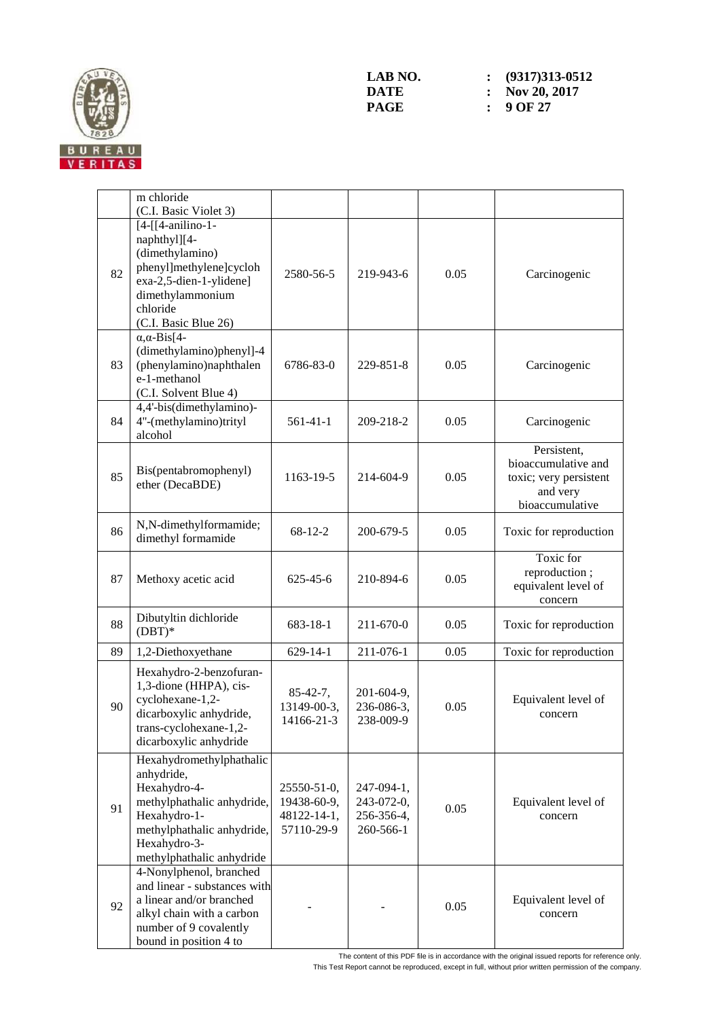

|    | m chloride<br>(C.I. Basic Violet 3)                                                                                                                                             |                                                         |                                                     |      |                                                                                             |
|----|---------------------------------------------------------------------------------------------------------------------------------------------------------------------------------|---------------------------------------------------------|-----------------------------------------------------|------|---------------------------------------------------------------------------------------------|
| 82 | $[4-[[4-anilino-1-$<br>naphthyl][4-<br>(dimethylamino)<br>phenyl]methylene]cycloh<br>exa-2,5-dien-1-ylidene]<br>dimethylammonium<br>chloride<br>(C.I. Basic Blue 26)            | 2580-56-5                                               | 219-943-6                                           | 0.05 | Carcinogenic                                                                                |
| 83 | $\alpha$ , $\alpha$ -Bis[4-<br>(dimethylamino)phenyl]-4<br>(phenylamino)naphthalen<br>e-1-methanol<br>(C.I. Solvent Blue 4)                                                     | 6786-83-0                                               | 229-851-8                                           | 0.05 | Carcinogenic                                                                                |
| 84 | 4,4'-bis(dimethylamino)-<br>4"-(methylamino)trityl<br>alcohol                                                                                                                   | $561-41-1$                                              | 209-218-2                                           | 0.05 | Carcinogenic                                                                                |
| 85 | Bis(pentabromophenyl)<br>ether (DecaBDE)                                                                                                                                        | 1163-19-5                                               | 214-604-9                                           | 0.05 | Persistent,<br>bioaccumulative and<br>toxic; very persistent<br>and very<br>bioaccumulative |
| 86 | N,N-dimethylformamide;<br>dimethyl formamide                                                                                                                                    | $68 - 12 - 2$                                           | 200-679-5                                           | 0.05 | Toxic for reproduction                                                                      |
| 87 | Methoxy acetic acid                                                                                                                                                             | $625 - 45 - 6$                                          | 210-894-6                                           | 0.05 | Toxic for<br>reproduction;<br>equivalent level of<br>concern                                |
| 88 | Dibutyltin dichloride<br>$(DBT)*$                                                                                                                                               | 683-18-1                                                | 211-670-0                                           | 0.05 | Toxic for reproduction                                                                      |
| 89 | 1,2-Diethoxyethane                                                                                                                                                              | $629 - 14 - 1$                                          | 211-076-1                                           | 0.05 | Toxic for reproduction                                                                      |
| 90 | Hexahydro-2-benzofuran-<br>1,3-dione (HHPA), cis-<br>cyclohexane-1,2-<br>dicarboxylic anhydride,<br>trans-cyclohexane-1,2-<br>dicarboxylic anhydride                            | $85-42-7,$<br>13149-00-3,<br>14166-21-3                 | 201-604-9,<br>236-086-3,<br>238-009-9               | 0.05 | Equivalent level of<br>concern                                                              |
| 91 | Hexahydromethylphathalic<br>anhydride,<br>Hexahydro-4-<br>methylphathalic anhydride,<br>Hexahydro-1-<br>methylphathalic anhydride,<br>Hexahydro-3-<br>methylphathalic anhydride | 25550-51-0,<br>19438-60-9,<br>48122-14-1,<br>57110-29-9 | 247-094-1,<br>243-072-0,<br>256-356-4,<br>260-566-1 | 0.05 | Equivalent level of<br>concern                                                              |
| 92 | 4-Nonylphenol, branched<br>and linear - substances with<br>a linear and/or branched<br>alkyl chain with a carbon<br>number of 9 covalently<br>bound in position 4 to            |                                                         |                                                     | 0.05 | Equivalent level of<br>concern                                                              |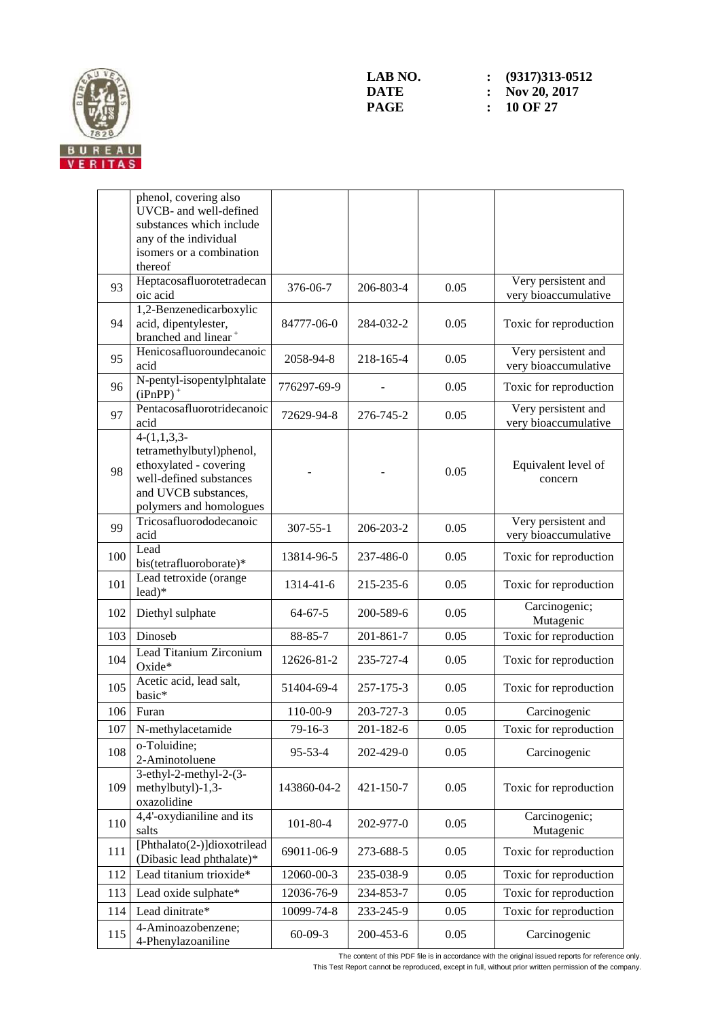

|     | phenol, covering also<br>UVCB- and well-defined<br>substances which include<br>any of the individual<br>isomers or a combination                  |                |           |      |                                             |
|-----|---------------------------------------------------------------------------------------------------------------------------------------------------|----------------|-----------|------|---------------------------------------------|
| 93  | thereof<br>Heptacosafluorotetradecan<br>oic acid                                                                                                  | 376-06-7       | 206-803-4 | 0.05 | Very persistent and<br>very bioaccumulative |
| 94  | 1,2-Benzenedicarboxylic<br>acid, dipentylester,<br>branched and linear <sup>+</sup>                                                               | 84777-06-0     | 284-032-2 | 0.05 | Toxic for reproduction                      |
| 95  | Henicosafluoroundecanoic<br>acid                                                                                                                  | 2058-94-8      | 218-165-4 | 0.05 | Very persistent and<br>very bioaccumulative |
| 96  | N-pentyl-isopentylphtalate<br>$(iPnPP)$ <sup>+</sup>                                                                                              | 776297-69-9    |           | 0.05 | Toxic for reproduction                      |
| 97  | Pentacosafluorotridecanoic<br>acid                                                                                                                | 72629-94-8     | 276-745-2 | 0.05 | Very persistent and<br>very bioaccumulative |
| 98  | $4-(1,1,3,3-$<br>tetramethylbutyl)phenol,<br>ethoxylated - covering<br>well-defined substances<br>and UVCB substances,<br>polymers and homologues |                |           | 0.05 | Equivalent level of<br>concern              |
| 99  | Tricosafluorododecanoic<br>acid                                                                                                                   | $307 - 55 - 1$ | 206-203-2 | 0.05 | Very persistent and<br>very bioaccumulative |
| 100 | Lead<br>bis(tetrafluoroborate)*                                                                                                                   | 13814-96-5     | 237-486-0 | 0.05 | Toxic for reproduction                      |
| 101 | Lead tetroxide (orange<br>lead)*                                                                                                                  | 1314-41-6      | 215-235-6 | 0.05 | Toxic for reproduction                      |
| 102 | Diethyl sulphate                                                                                                                                  | $64 - 67 - 5$  | 200-589-6 | 0.05 | Carcinogenic;<br>Mutagenic                  |
| 103 | Dinoseb                                                                                                                                           | 88-85-7        | 201-861-7 | 0.05 | Toxic for reproduction                      |
| 104 | Lead Titanium Zirconium<br>Oxide*                                                                                                                 | 12626-81-2     | 235-727-4 | 0.05 | Toxic for reproduction                      |
| 105 | Acetic acid, lead salt,<br>basic*                                                                                                                 | 51404-69-4     | 257-175-3 | 0.05 | Toxic for reproduction                      |
| 106 | Furan                                                                                                                                             | 110-00-9       | 203-727-3 | 0.05 | Carcinogenic                                |
| 107 | N-methylacetamide                                                                                                                                 | 79-16-3        | 201-182-6 | 0.05 | Toxic for reproduction                      |
| 108 | o-Toluidine;<br>2-Aminotoluene                                                                                                                    | $95 - 53 - 4$  | 202-429-0 | 0.05 | Carcinogenic                                |
| 109 | $3-ethyl-2-methyl-2-(3-$<br>methylbutyl)-1,3-<br>oxazolidine                                                                                      | 143860-04-2    | 421-150-7 | 0.05 | Toxic for reproduction                      |
| 110 | 4,4'-oxydianiline and its<br>salts                                                                                                                | $101 - 80 - 4$ | 202-977-0 | 0.05 | Carcinogenic;<br>Mutagenic                  |
| 111 | [Phthalato(2-)]dioxotrilead<br>(Dibasic lead phthalate)*                                                                                          | 69011-06-9     | 273-688-5 | 0.05 | Toxic for reproduction                      |
| 112 | Lead titanium trioxide*                                                                                                                           | 12060-00-3     | 235-038-9 | 0.05 | Toxic for reproduction                      |
| 113 | Lead oxide sulphate*                                                                                                                              | 12036-76-9     | 234-853-7 | 0.05 | Toxic for reproduction                      |
| 114 | Lead dinitrate*                                                                                                                                   | 10099-74-8     | 233-245-9 | 0.05 | Toxic for reproduction                      |
| 115 | 4-Aminoazobenzene;<br>4-Phenylazoaniline                                                                                                          | $60 - 09 - 3$  | 200-453-6 | 0.05 | Carcinogenic                                |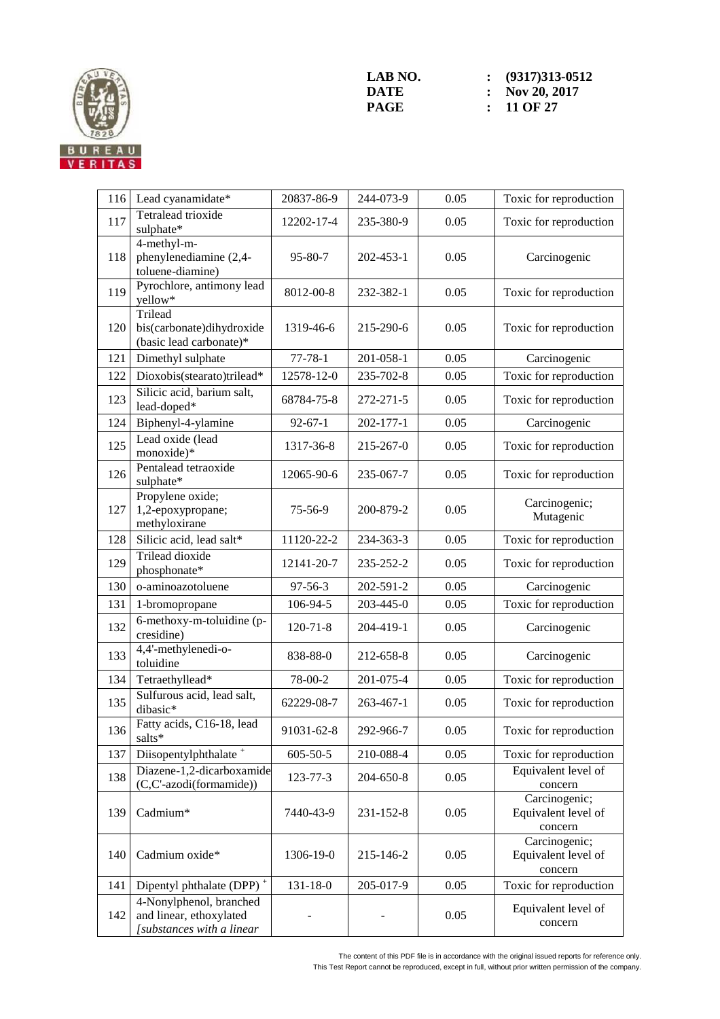

| 116 | Lead cyanamidate*                                                               | 20837-86-9     | 244-073-9 | 0.05 | Toxic for reproduction                          |
|-----|---------------------------------------------------------------------------------|----------------|-----------|------|-------------------------------------------------|
| 117 | Tetralead trioxide<br>sulphate*                                                 | 12202-17-4     | 235-380-9 | 0.05 | Toxic for reproduction                          |
| 118 | 4-methyl-m-<br>phenylenediamine (2,4-<br>toluene-diamine)                       | 95-80-7        | 202-453-1 | 0.05 | Carcinogenic                                    |
| 119 | Pyrochlore, antimony lead<br>yellow*                                            | 8012-00-8      | 232-382-1 | 0.05 | Toxic for reproduction                          |
| 120 | Trilead<br>bis(carbonate)dihydroxide<br>(basic lead carbonate)*                 | 1319-46-6      | 215-290-6 | 0.05 | Toxic for reproduction                          |
| 121 | Dimethyl sulphate                                                               | $77 - 78 - 1$  | 201-058-1 | 0.05 | Carcinogenic                                    |
| 122 | Dioxobis(stearato)trilead*                                                      | 12578-12-0     | 235-702-8 | 0.05 | Toxic for reproduction                          |
| 123 | Silicic acid, barium salt,<br>lead-doped*                                       | 68784-75-8     | 272-271-5 | 0.05 | Toxic for reproduction                          |
| 124 | Biphenyl-4-ylamine                                                              | $92 - 67 - 1$  | 202-177-1 | 0.05 | Carcinogenic                                    |
| 125 | Lead oxide (lead<br>monoxide)*                                                  | 1317-36-8      | 215-267-0 | 0.05 | Toxic for reproduction                          |
| 126 | Pentalead tetraoxide<br>sulphate*                                               | 12065-90-6     | 235-067-7 | 0.05 | Toxic for reproduction                          |
| 127 | Propylene oxide;<br>1,2-epoxypropane;<br>methyloxirane                          | 75-56-9        | 200-879-2 | 0.05 | Carcinogenic;<br>Mutagenic                      |
| 128 | Silicic acid, lead salt*                                                        | 11120-22-2     | 234-363-3 | 0.05 | Toxic for reproduction                          |
| 129 | Trilead dioxide<br>phosphonate*                                                 | 12141-20-7     | 235-252-2 | 0.05 | Toxic for reproduction                          |
| 130 | o-aminoazotoluene                                                               | $97 - 56 - 3$  | 202-591-2 | 0.05 | Carcinogenic                                    |
| 131 | 1-bromopropane                                                                  | 106-94-5       | 203-445-0 | 0.05 | Toxic for reproduction                          |
| 132 | 6-methoxy-m-toluidine (p-<br>cresidine)                                         | $120 - 71 - 8$ | 204-419-1 | 0.05 | Carcinogenic                                    |
| 133 | 4,4'-methylenedi-o-<br>toluidine                                                | 838-88-0       | 212-658-8 | 0.05 | Carcinogenic                                    |
| 134 | Tetraethyllead*                                                                 | 78-00-2        | 201-075-4 | 0.05 | Toxic for reproduction                          |
| 135 | Sulfurous acid, lead salt,<br>dibasic*                                          | 62229-08-7     | 263-467-1 | 0.05 | Toxic for reproduction                          |
| 136 | Fatty acids, C16-18, lead<br>salts*                                             | 91031-62-8     | 292-966-7 | 0.05 | Toxic for reproduction                          |
| 137 | Diisopentylphthalate <sup>+</sup>                                               | $605 - 50 - 5$ | 210-088-4 | 0.05 | Toxic for reproduction                          |
| 138 | Diazene-1,2-dicarboxamide<br>(C,C'-azodi(formamide))                            | 123-77-3       | 204-650-8 | 0.05 | Equivalent level of<br>concern                  |
| 139 | Cadmium*                                                                        | 7440-43-9      | 231-152-8 | 0.05 | Carcinogenic;<br>Equivalent level of<br>concern |
| 140 | Cadmium oxide*                                                                  | 1306-19-0      | 215-146-2 | 0.05 | Carcinogenic;<br>Equivalent level of<br>concern |
| 141 | Dipentyl phthalate (DPP) <sup>+</sup>                                           | $131 - 18 - 0$ | 205-017-9 | 0.05 | Toxic for reproduction                          |
| 142 | 4-Nonylphenol, branched<br>and linear, ethoxylated<br>[substances with a linear |                |           | 0.05 | Equivalent level of<br>concern                  |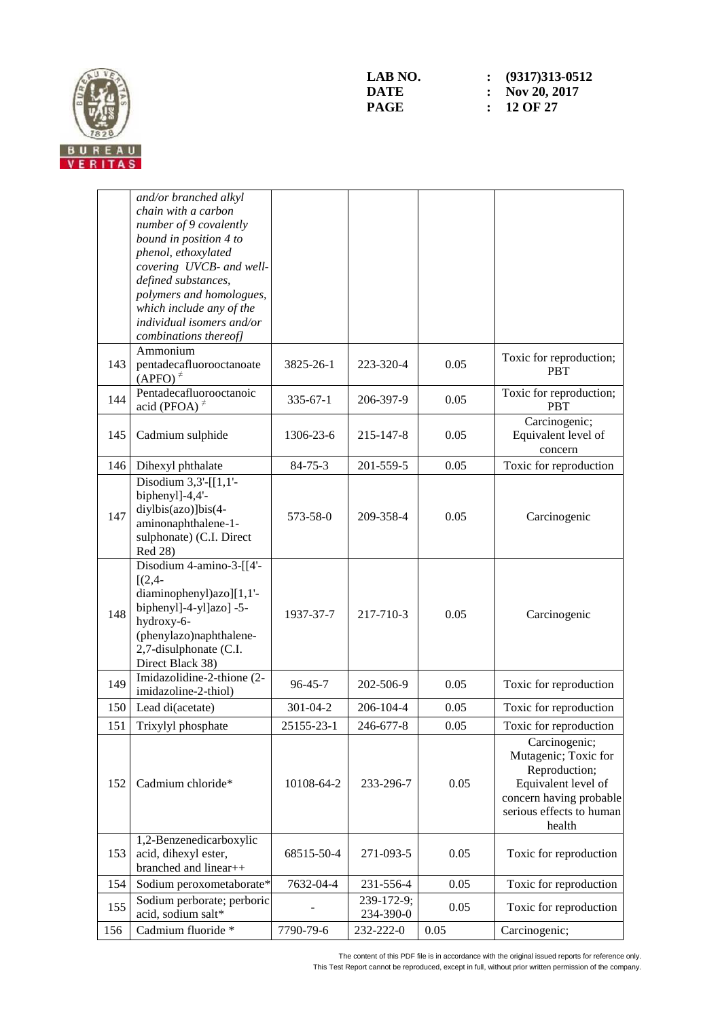

|     | and/or branched alkyl                            |                |                         |      |                                                     |
|-----|--------------------------------------------------|----------------|-------------------------|------|-----------------------------------------------------|
|     | chain with a carbon                              |                |                         |      |                                                     |
|     | number of 9 covalently                           |                |                         |      |                                                     |
|     | bound in position 4 to                           |                |                         |      |                                                     |
|     | phenol, ethoxylated                              |                |                         |      |                                                     |
|     | covering UVCB- and well-                         |                |                         |      |                                                     |
|     | defined substances,                              |                |                         |      |                                                     |
|     | polymers and homologues,                         |                |                         |      |                                                     |
|     | which include any of the                         |                |                         |      |                                                     |
|     | individual isomers and/or                        |                |                         |      |                                                     |
|     | combinations thereof]<br>Ammonium                |                |                         |      |                                                     |
| 143 | pentadecafluorooctanoate<br>$(APFO)^{\neq}$      | 3825-26-1      | 223-320-4               | 0.05 | Toxic for reproduction;<br><b>PBT</b>               |
| 144 | Pentadecafluorooctanoic<br>acid (PFOA) $*$       | $335 - 67 - 1$ | 206-397-9               | 0.05 | Toxic for reproduction;<br><b>PBT</b>               |
| 145 | Cadmium sulphide                                 | 1306-23-6      | 215-147-8               | 0.05 | Carcinogenic;<br>Equivalent level of<br>concern     |
| 146 | Dihexyl phthalate                                | $84 - 75 - 3$  | 201-559-5               | 0.05 | Toxic for reproduction                              |
|     | Disodium $3,3'$ -[[1,1'-<br>biphenyl]-4,4'-      |                |                         |      |                                                     |
| 147 | diylbis(azo)]bis(4-                              | 573-58-0       |                         |      |                                                     |
|     | aminonaphthalene-1-                              |                | 209-358-4               | 0.05 | Carcinogenic                                        |
|     | sulphonate) (C.I. Direct                         |                |                         |      |                                                     |
|     | Red 28)                                          |                |                         |      |                                                     |
|     | Disodium 4-amino-3-[[4'-                         |                |                         |      |                                                     |
|     | $[(2,4 -$                                        |                |                         |      |                                                     |
|     | diaminophenyl)azo][1,1'-                         |                |                         |      |                                                     |
| 148 | biphenyl]-4-yl]azo] -5-<br>hydroxy-6-            | 1937-37-7      | 217-710-3               | 0.05 | Carcinogenic                                        |
|     | (phenylazo)naphthalene-                          |                |                         |      |                                                     |
|     | 2,7-disulphonate (C.I.                           |                |                         |      |                                                     |
|     | Direct Black 38)                                 |                |                         |      |                                                     |
|     | Imidazolidine-2-thione (2-                       |                |                         |      |                                                     |
| 149 | imidazoline-2-thiol)                             | 96-45-7        | 202-506-9               | 0.05 | Toxic for reproduction                              |
| 150 | Lead di(acetate)                                 | $301 - 04 - 2$ | 206-104-4               | 0.05 | Toxic for reproduction                              |
| 151 | Trixylyl phosphate                               | 25155-23-1     | 246-677-8               | 0.05 | Toxic for reproduction                              |
|     |                                                  |                |                         |      | Carcinogenic;                                       |
|     |                                                  |                |                         |      | Mutagenic; Toxic for                                |
|     |                                                  |                |                         |      | Reproduction;                                       |
| 152 | Cadmium chloride*                                | 10108-64-2     | 233-296-7               | 0.05 | Equivalent level of                                 |
|     |                                                  |                |                         |      | concern having probable<br>serious effects to human |
|     |                                                  |                |                         |      | health                                              |
|     | 1,2-Benzenedicarboxylic                          |                |                         |      |                                                     |
| 153 | acid, dihexyl ester,                             | 68515-50-4     | 271-093-5               | 0.05 | Toxic for reproduction                              |
|     | branched and linear++                            |                |                         |      |                                                     |
| 154 | Sodium peroxometaborate*                         | 7632-04-4      | 231-556-4               | 0.05 | Toxic for reproduction                              |
| 155 | Sodium perborate; perboric<br>acid, sodium salt* |                | 239-172-9;<br>234-390-0 | 0.05 | Toxic for reproduction                              |
| 156 | Cadmium fluoride *                               | 7790-79-6      | 232-222-0               | 0.05 | Carcinogenic;                                       |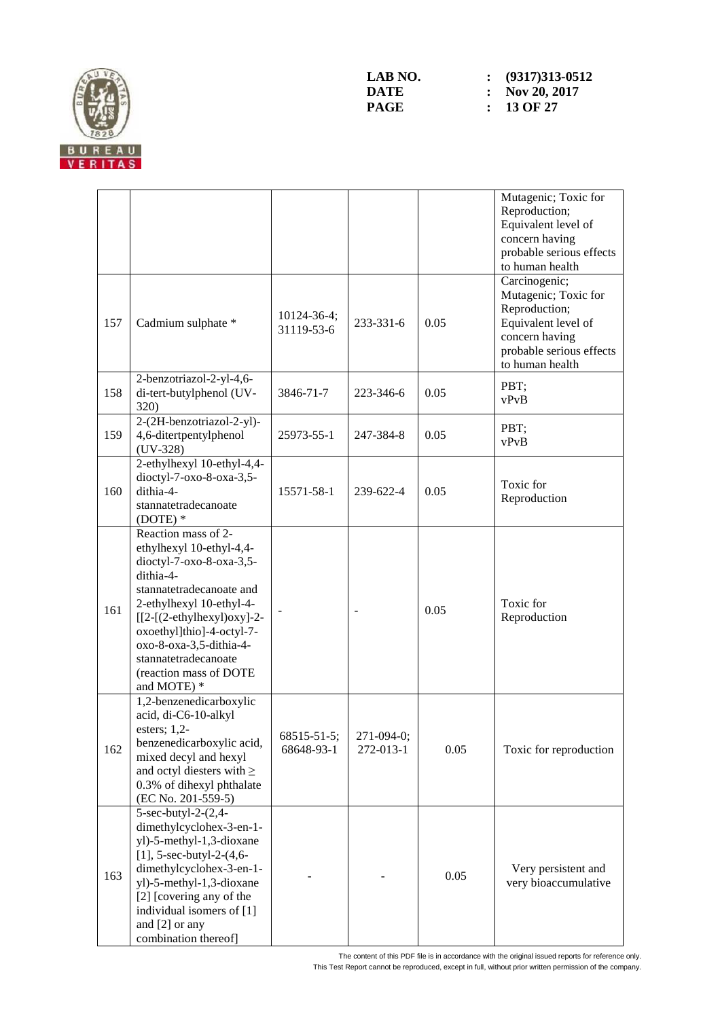

|     |                                                                                                                                                                                                                                                                                                          |                           |                         |      | Mutagenic; Toxic for<br>Reproduction;<br>Equivalent level of<br>concern having<br>probable serious effects<br>to human health                  |
|-----|----------------------------------------------------------------------------------------------------------------------------------------------------------------------------------------------------------------------------------------------------------------------------------------------------------|---------------------------|-------------------------|------|------------------------------------------------------------------------------------------------------------------------------------------------|
| 157 | Cadmium sulphate *                                                                                                                                                                                                                                                                                       | 10124-36-4;<br>31119-53-6 | 233-331-6               | 0.05 | Carcinogenic;<br>Mutagenic; Toxic for<br>Reproduction;<br>Equivalent level of<br>concern having<br>probable serious effects<br>to human health |
| 158 | 2-benzotriazol-2-yl-4,6-<br>di-tert-butylphenol (UV-<br>320)                                                                                                                                                                                                                                             | 3846-71-7                 | 223-346-6               | 0.05 | PBT;<br>vPvB                                                                                                                                   |
| 159 | 2-(2H-benzotriazol-2-yl)-<br>4,6-ditertpentylphenol<br>$(UV-328)$                                                                                                                                                                                                                                        | 25973-55-1                | 247-384-8               | 0.05 | PBT;<br>vPvB                                                                                                                                   |
| 160 | 2-ethylhexyl 10-ethyl-4,4-<br>dioctyl-7-oxo-8-oxa-3,5-<br>dithia-4-<br>stannatetradecanoate<br>$(DOTE)*$                                                                                                                                                                                                 | 15571-58-1                | 239-622-4               | 0.05 | Toxic for<br>Reproduction                                                                                                                      |
| 161 | Reaction mass of 2-<br>ethylhexyl 10-ethyl-4,4-<br>dioctyl-7-oxo-8-oxa-3,5-<br>dithia-4-<br>stannatetradecanoate and<br>2-ethylhexyl 10-ethyl-4-<br>$[[2-(2-ethylhexyl)oxy]-2-$<br>oxoethyl]thio]-4-octyl-7-<br>oxo-8-oxa-3,5-dithia-4-<br>stannatetradecanoate<br>(reaction mass of DOTE<br>and MOTE) * |                           |                         | 0.05 | Toxic for<br>Reproduction                                                                                                                      |
| 162 | 1,2-benzenedicarboxylic<br>acid, di-C6-10-alkyl<br>esters; $1,2$ -<br>benzenedicarboxylic acid,<br>mixed decyl and hexyl<br>and octyl diesters with $\geq$<br>0.3% of dihexyl phthalate<br>(EC No. 201-559-5)                                                                                            | 68515-51-5;<br>68648-93-1 | 271-094-0;<br>272-013-1 | 0.05 | Toxic for reproduction                                                                                                                         |
| 163 | 5-sec-butyl-2-(2,4-<br>dimethylcyclohex-3-en-1-<br>yl)-5-methyl-1,3-dioxane<br>$[1]$ , 5-sec-butyl-2- $(4, 6-$<br>dimethylcyclohex-3-en-1-<br>yl)-5-methyl-1,3-dioxane<br>[2] [covering any of the<br>individual isomers of [1]<br>and [2] or any<br>combination thereof]                                |                           |                         | 0.05 | Very persistent and<br>very bioaccumulative                                                                                                    |

The content of this PDF file is in accordance with the original issued reports for reference only. This Test Report cannot be reproduced, except in full, without prior written permission of the company.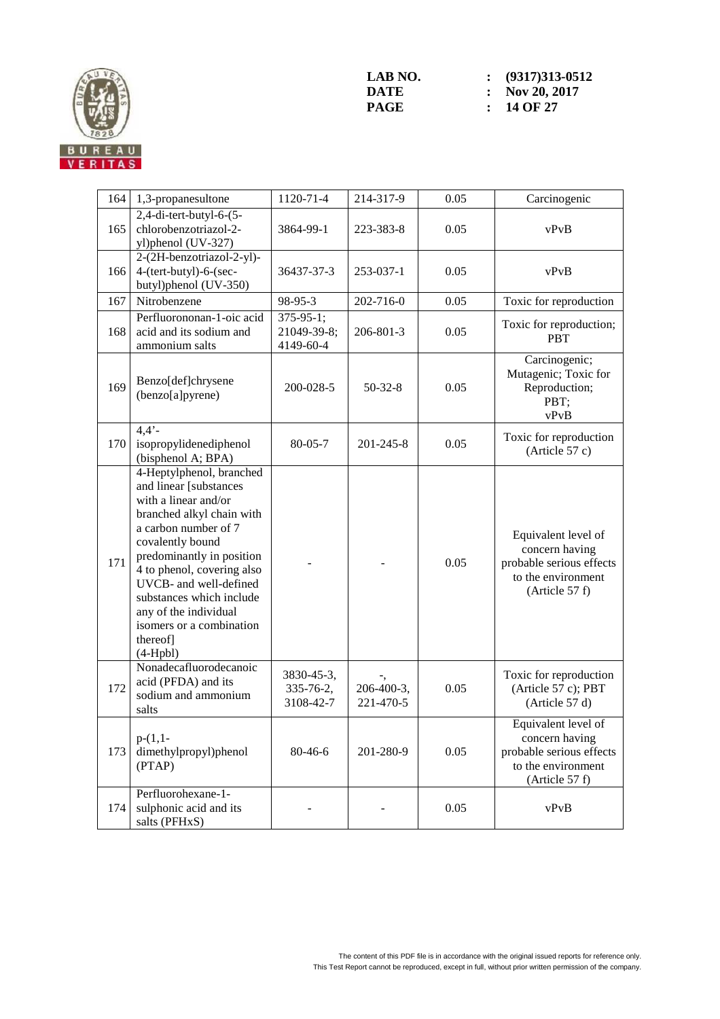

| 164 | 1,3-propanesultone                                                                                                                                                                                                                                                                                                                                  | 1120-71-4                                    | 214-317-9               | 0.05 | Carcinogenic                                                                                              |
|-----|-----------------------------------------------------------------------------------------------------------------------------------------------------------------------------------------------------------------------------------------------------------------------------------------------------------------------------------------------------|----------------------------------------------|-------------------------|------|-----------------------------------------------------------------------------------------------------------|
| 165 | 2,4-di-tert-butyl-6-(5-<br>chlorobenzotriazol-2-<br>yl)phenol (UV-327)                                                                                                                                                                                                                                                                              | 3864-99-1                                    | 223-383-8               | 0.05 | vPvB                                                                                                      |
| 166 | 2-(2H-benzotriazol-2-yl)-<br>4-(tert-butyl)-6-(sec-<br>butyl)phenol (UV-350)                                                                                                                                                                                                                                                                        | 36437-37-3                                   | 253-037-1               | 0.05 | vPvB                                                                                                      |
| 167 | Nitrobenzene                                                                                                                                                                                                                                                                                                                                        | 98-95-3                                      | 202-716-0               | 0.05 | Toxic for reproduction                                                                                    |
| 168 | Perfluorononan-1-oic acid<br>acid and its sodium and<br>ammonium salts                                                                                                                                                                                                                                                                              | $375 - 95 - 1$ ;<br>21049-39-8;<br>4149-60-4 | 206-801-3               | 0.05 | Toxic for reproduction;<br><b>PBT</b>                                                                     |
| 169 | Benzo[def]chrysene<br>(benzo[a]pyrene)                                                                                                                                                                                                                                                                                                              | 200-028-5                                    | $50-32-8$               | 0.05 | Carcinogenic;<br>Mutagenic; Toxic for<br>Reproduction;<br>PBT;<br>vPvB                                    |
| 170 | $4,4'$ -<br>isopropylidenediphenol<br>(bisphenol A; BPA)                                                                                                                                                                                                                                                                                            | $80 - 05 - 7$                                | 201-245-8               | 0.05 | Toxic for reproduction<br>(Article 57 c)                                                                  |
| 171 | 4-Heptylphenol, branched<br>and linear [substances<br>with a linear and/or<br>branched alkyl chain with<br>a carbon number of 7<br>covalently bound<br>predominantly in position<br>4 to phenol, covering also<br>UVCB- and well-defined<br>substances which include<br>any of the individual<br>isomers or a combination<br>thereof]<br>$(4-Hpbl)$ |                                              |                         | 0.05 | Equivalent level of<br>concern having<br>probable serious effects<br>to the environment<br>(Article 57 f) |
| 172 | Nonadecafluorodecanoic<br>acid (PFDA) and its<br>sodium and ammonium<br>salts                                                                                                                                                                                                                                                                       | 3830-45-3,<br>335-76-2,<br>3108-42-7         | 206-400-3,<br>221-470-5 | 0.05 | Toxic for reproduction<br>(Article 57 c); PBT<br>(Article 57 d)                                           |
| 173 | $p-(1,1-$<br>dimethylpropyl)phenol<br>(PTAP)                                                                                                                                                                                                                                                                                                        | 80-46-6                                      | 201-280-9               | 0.05 | Equivalent level of<br>concern having<br>probable serious effects<br>to the environment<br>(Article 57 f) |
| 174 | Perfluorohexane-1-<br>sulphonic acid and its<br>salts (PFHxS)                                                                                                                                                                                                                                                                                       |                                              |                         | 0.05 | vPvB                                                                                                      |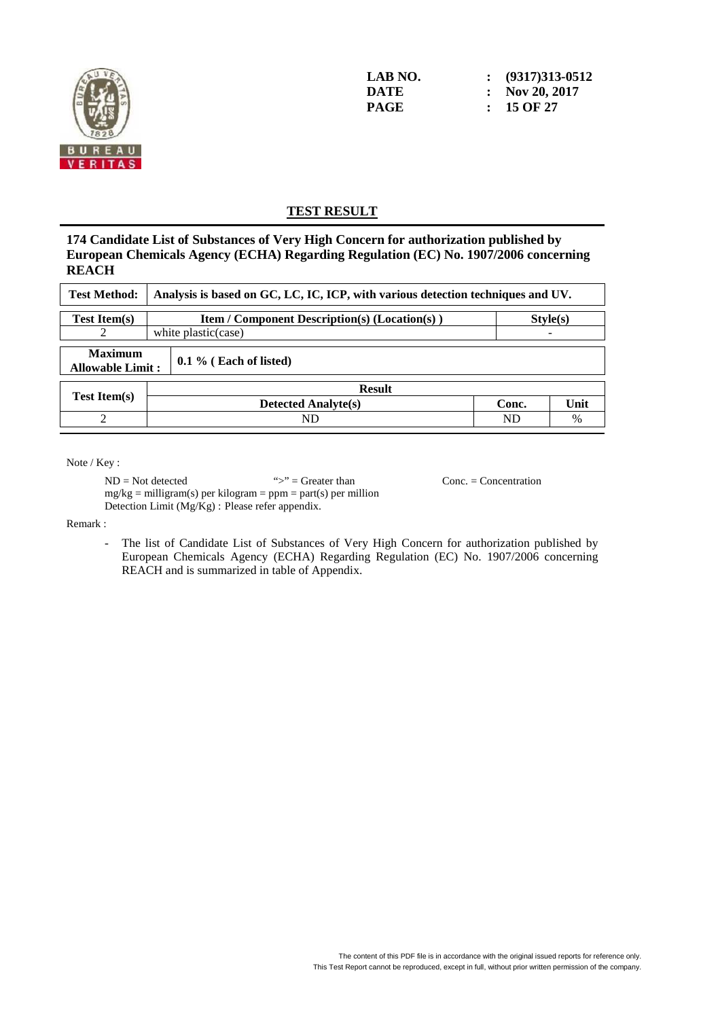

**LAB NO. : (9317)313-0512 DATE : Nov 20, 2017 PAGE : 15 OF 27** 

#### **TEST RESULT**

**174 Candidate List of Substances of Very High Concern for authorization published by European Chemicals Agency (ECHA) Regarding Regulation (EC) No. 1907/2006 concerning REACH** 

| <b>Test Method:</b>                       | Analysis is based on GC, LC, IC, ICP, with various detection techniques and UV. |       |      |  |  |  |  |
|-------------------------------------------|---------------------------------------------------------------------------------|-------|------|--|--|--|--|
| <b>Test Item(s)</b>                       | <b>Item / Component Description(s) (Location(s))</b><br>Style(s)                |       |      |  |  |  |  |
|                                           | white plastic (case)                                                            |       |      |  |  |  |  |
| <b>Maximum</b><br><b>Allowable Limit:</b> | $0.1\%$ (Each of listed)                                                        |       |      |  |  |  |  |
|                                           | <b>Result</b>                                                                   |       |      |  |  |  |  |
| <b>Test Item(s)</b>                       | <b>Detected Analyte(s)</b>                                                      | Conc. | Unit |  |  |  |  |
|                                           | ND                                                                              | ND    | $\%$ |  |  |  |  |

Note / Key :

 ND = Not detected ">" = Greater than Conc. = Concentration  $mg/kg =$  milligram(s) per kilogram = ppm = part(s) per million Detection Limit (Mg/Kg) : Please refer appendix.

Remark :

The list of Candidate List of Substances of Very High Concern for authorization published by European Chemicals Agency (ECHA) Regarding Regulation (EC) No. 1907/2006 concerning REACH and is summarized in table of Appendix.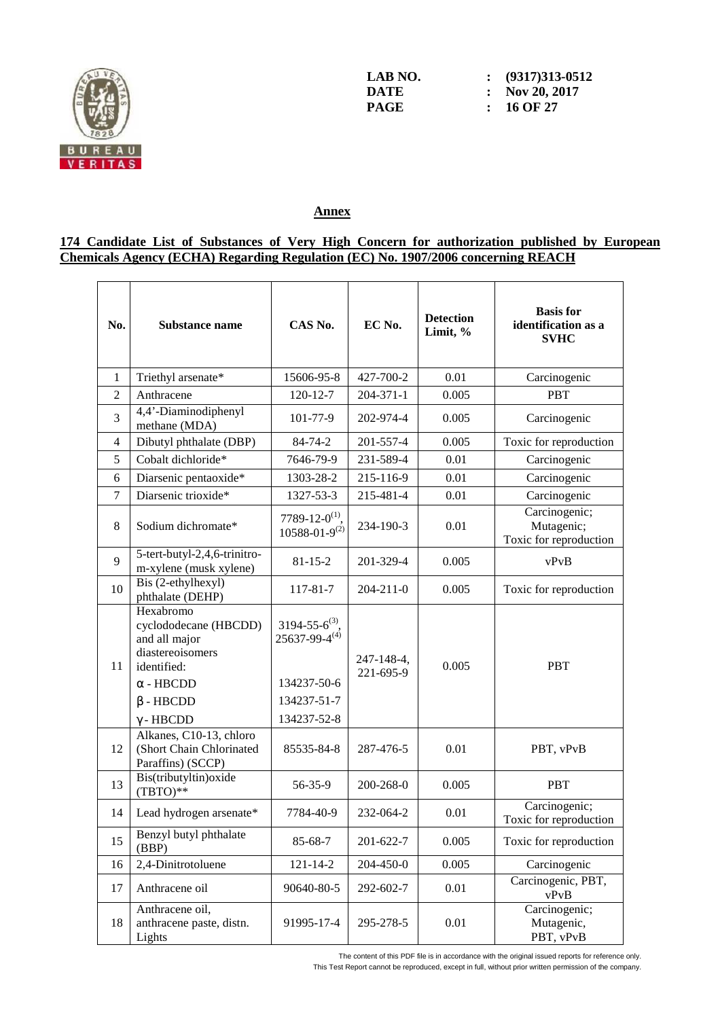

**LAB NO.** : (9317)313-0512<br> **DATE** : Nov 20, 2017 **DATE : Nov 20, 2017** 

**PAGE : 16 OF 27** 

#### **Annex**

#### **174 Candidate List of Substances of Very High Concern for authorization published by European Chemicals Agency (ECHA) Regarding Regulation (EC) No. 1907/2006 concerning REACH**

| No.            | <b>Substance name</b>                                                                                                                             | CAS No.                                                                                        | EC No.                  | <b>Detection</b><br>Limit, % | <b>Basis</b> for<br>identification as a<br><b>SVHC</b> |
|----------------|---------------------------------------------------------------------------------------------------------------------------------------------------|------------------------------------------------------------------------------------------------|-------------------------|------------------------------|--------------------------------------------------------|
| $\mathbf{1}$   | Triethyl arsenate*                                                                                                                                | 15606-95-8                                                                                     | 427-700-2               | 0.01                         | Carcinogenic                                           |
| $\overline{2}$ | Anthracene                                                                                                                                        | 120-12-7                                                                                       | $204 - 371 - 1$         | 0.005                        | <b>PBT</b>                                             |
| 3              | 4,4'-Diaminodiphenyl<br>methane (MDA)                                                                                                             | 101-77-9                                                                                       | 202-974-4               | 0.005                        | Carcinogenic                                           |
| $\overline{4}$ | Dibutyl phthalate (DBP)                                                                                                                           | 84-74-2                                                                                        | 201-557-4               | 0.005                        | Toxic for reproduction                                 |
| 5              | Cobalt dichloride*                                                                                                                                | 7646-79-9                                                                                      | 231-589-4               | 0.01                         | Carcinogenic                                           |
| 6              | Diarsenic pentaoxide*                                                                                                                             | 1303-28-2                                                                                      | 215-116-9               | 0.01                         | Carcinogenic                                           |
| $\overline{7}$ | Diarsenic trioxide*                                                                                                                               | 1327-53-3                                                                                      | 215-481-4               | 0.01                         | Carcinogenic                                           |
| 8              | Sodium dichromate*                                                                                                                                | 7789-12-0 <sup>(1)</sup> .<br>$10588 - 01 - 9^{(2)}$                                           | 234-190-3               | 0.01                         | Carcinogenic;<br>Mutagenic;<br>Toxic for reproduction  |
| 9              | 5-tert-butyl-2,4,6-trinitro-<br>m-xylene (musk xylene)                                                                                            | $81 - 15 - 2$                                                                                  | 201-329-4               | 0.005                        | vPvB                                                   |
| 10             | Bis (2-ethylhexyl)<br>phthalate (DEHP)                                                                                                            | 117-81-7                                                                                       | 204-211-0               | 0.005                        | Toxic for reproduction                                 |
| 11             | Hexabromo<br>cyclododecane (HBCDD)<br>and all major<br>diastereoisomers<br>identified:<br>$\alpha$ - HBCDD<br>$\beta$ - HBCDD<br>$\gamma$ - HBCDD | $3194 - 55 - 6^{(3)}$ .<br>$25637 - 99 - 4^{(4)}$<br>134237-50-6<br>134237-51-7<br>134237-52-8 | 247-148-4,<br>221-695-9 | 0.005                        | <b>PBT</b>                                             |
| 12             | Alkanes, C10-13, chloro<br>(Short Chain Chlorinated<br>Paraffins) (SCCP)                                                                          | 85535-84-8                                                                                     | 287-476-5               | 0.01                         | PBT, vPvB                                              |
| 13             | Bis(tributyltin) oxide<br>$(TBTO)**$                                                                                                              | 56-35-9                                                                                        | 200-268-0               | 0.005                        | <b>PBT</b>                                             |
| 14             | Lead hydrogen arsenate*                                                                                                                           | 7784-40-9                                                                                      | 232-064-2               | 0.01                         | Carcinogenic;<br>Toxic for reproduction                |
| 15             | Benzyl butyl phthalate<br>(BBP)                                                                                                                   | 85-68-7                                                                                        | 201-622-7               | 0.005                        | Toxic for reproduction                                 |
| 16             | 2,4-Dinitrotoluene                                                                                                                                | $121 - 14 - 2$                                                                                 | 204-450-0               | 0.005                        | Carcinogenic                                           |
| 17             | Anthracene oil                                                                                                                                    | 90640-80-5                                                                                     | 292-602-7               | 0.01                         | Carcinogenic, PBT,<br>vPvB                             |
| 18             | Anthracene oil,<br>anthracene paste, distn.<br>Lights                                                                                             | 91995-17-4                                                                                     | 295-278-5               | 0.01                         | Carcinogenic;<br>Mutagenic,<br>PBT, vPvB               |

The content of this PDF file is in accordance with the original issued reports for reference only.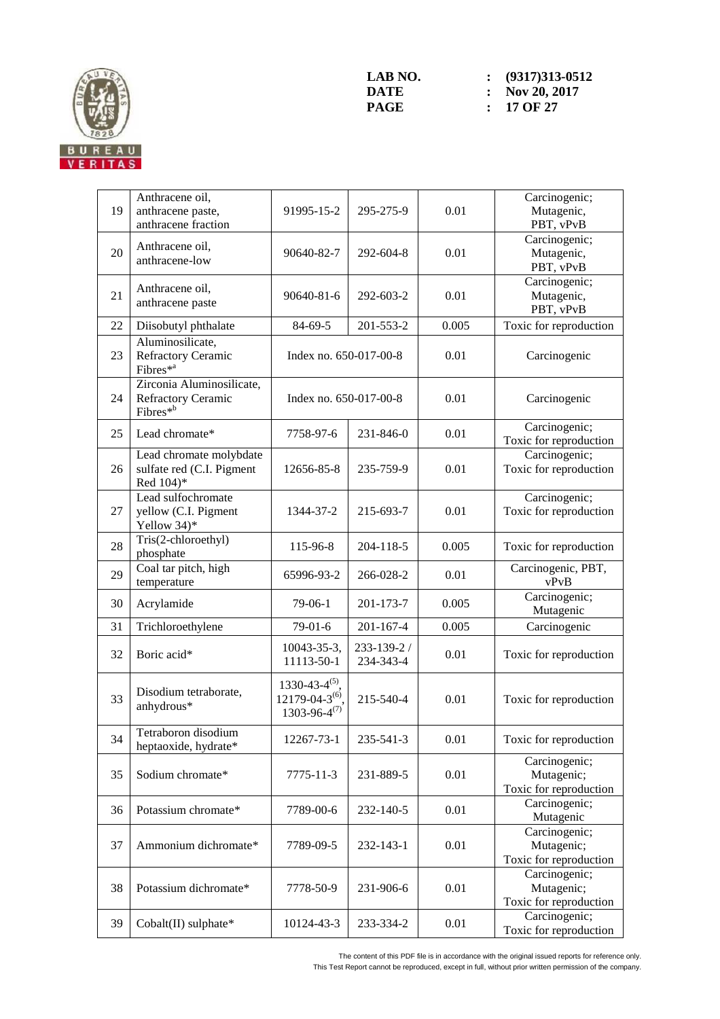

| 19 | Anthracene oil,<br>anthracene paste,<br>anthracene fraction                    | 91995-15-2                                                               | 295-275-9                | 0.01  | Carcinogenic;<br>Mutagenic,<br>PBT, vPvB              |
|----|--------------------------------------------------------------------------------|--------------------------------------------------------------------------|--------------------------|-------|-------------------------------------------------------|
| 20 | Anthracene oil,<br>anthracene-low                                              | 90640-82-7                                                               | 292-604-8                | 0.01  | Carcinogenic;<br>Mutagenic,<br>PBT, vPvB              |
| 21 | Anthracene oil,<br>anthracene paste                                            | 90640-81-6                                                               | 292-603-2                | 0.01  | Carcinogenic;<br>Mutagenic,<br>PBT, vPvB              |
| 22 | Diisobutyl phthalate                                                           | 84-69-5                                                                  | 201-553-2                | 0.005 | Toxic for reproduction                                |
| 23 | Aluminosilicate,<br><b>Refractory Ceramic</b><br>Fibres $*^a$                  | Index no. 650-017-00-8                                                   |                          | 0.01  | Carcinogenic                                          |
| 24 | Zirconia Aluminosilicate,<br><b>Refractory Ceramic</b><br>Fibres <sup>*b</sup> | Index no. 650-017-00-8                                                   |                          | 0.01  | Carcinogenic                                          |
| 25 | Lead chromate*                                                                 | 7758-97-6                                                                | 231-846-0                | 0.01  | Carcinogenic;<br>Toxic for reproduction               |
| 26 | Lead chromate molybdate<br>sulfate red (C.I. Pigment<br>Red 104)*              | 12656-85-8                                                               | 235-759-9                | 0.01  | Carcinogenic;<br>Toxic for reproduction               |
| 27 | Lead sulfochromate<br>yellow (C.I. Pigment<br>Yellow 34)*                      | 1344-37-2                                                                | 215-693-7                | 0.01  | Carcinogenic;<br>Toxic for reproduction               |
| 28 | Tris(2-chloroethyl)<br>phosphate                                               | 115-96-8                                                                 | 204-118-5                | 0.005 | Toxic for reproduction                                |
| 29 | Coal tar pitch, high<br>temperature                                            | 65996-93-2                                                               | 266-028-2                | 0.01  | Carcinogenic, PBT,<br>vPvB                            |
| 30 | Acrylamide                                                                     | $79-06-1$                                                                | 201-173-7                | 0.005 | Carcinogenic;<br>Mutagenic                            |
| 31 | Trichloroethylene                                                              | $79-01-6$                                                                | $201 - 167 - 4$          | 0.005 | Carcinogenic                                          |
| 32 | Boric acid*                                                                    | 10043-35-3,<br>11113-50-1                                                | 233-139-2 /<br>234-343-4 | 0.01  | Toxic for reproduction                                |
| 33 | Disodium tetraborate,<br>anhydrous*                                            | $1330 - 43 - 4^{(5)}$<br>$12179 - 04 - 3^{(6)}$<br>$1303 - 96 - 4^{(7)}$ | 215-540-4                | 0.01  | Toxic for reproduction                                |
| 34 | Tetraboron disodium<br>heptaoxide, hydrate*                                    | 12267-73-1                                                               | 235-541-3                | 0.01  | Toxic for reproduction                                |
| 35 | Sodium chromate*                                                               | 7775-11-3                                                                | 231-889-5                | 0.01  | Carcinogenic;<br>Mutagenic;<br>Toxic for reproduction |
| 36 | Potassium chromate*                                                            | 7789-00-6                                                                | 232-140-5                | 0.01  | Carcinogenic;<br>Mutagenic                            |
| 37 | Ammonium dichromate*                                                           | 7789-09-5                                                                | 232-143-1                | 0.01  | Carcinogenic;<br>Mutagenic;<br>Toxic for reproduction |
| 38 | Potassium dichromate*                                                          | 7778-50-9                                                                | 231-906-6                | 0.01  | Carcinogenic;<br>Mutagenic;<br>Toxic for reproduction |
| 39 | Cobalt(II) sulphate*                                                           | 10124-43-3                                                               | 233-334-2                | 0.01  | Carcinogenic;<br>Toxic for reproduction               |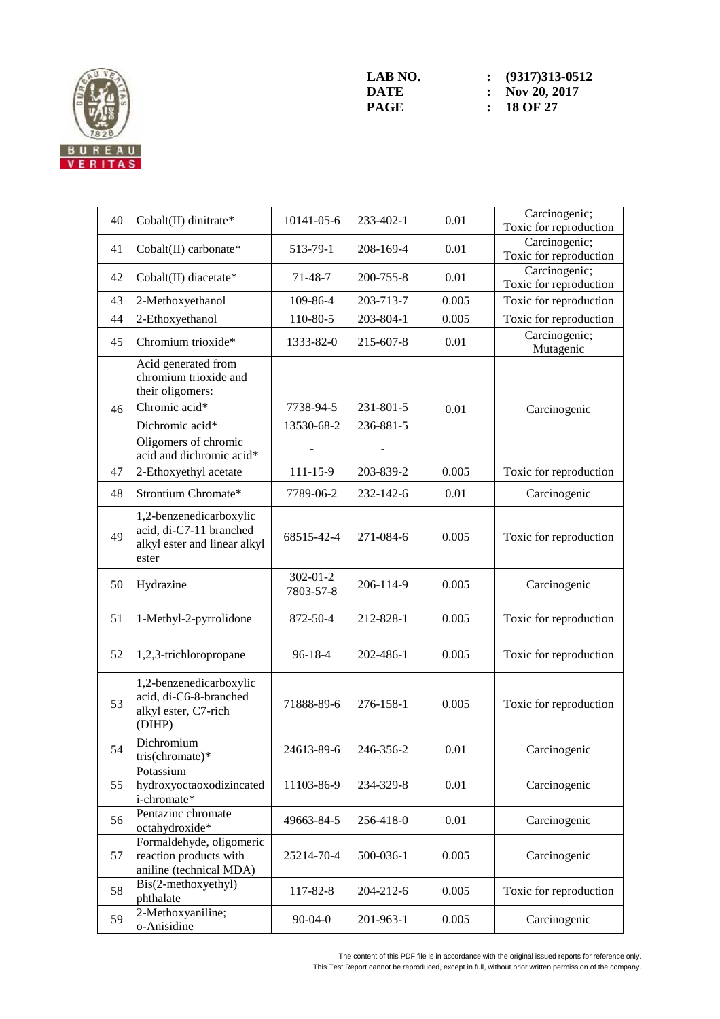

| 40 | Cobalt(II) dinitrate*                                                                                                                                    | 10141-05-6                  | 233-402-1              | 0.01  | Carcinogenic;<br>Toxic for reproduction |
|----|----------------------------------------------------------------------------------------------------------------------------------------------------------|-----------------------------|------------------------|-------|-----------------------------------------|
| 41 | Cobalt(II) carbonate*                                                                                                                                    | 513-79-1                    | 208-169-4              | 0.01  | Carcinogenic;<br>Toxic for reproduction |
| 42 | Cobalt(II) diacetate*                                                                                                                                    | 71-48-7                     | 200-755-8              | 0.01  | Carcinogenic;<br>Toxic for reproduction |
| 43 | 2-Methoxyethanol                                                                                                                                         | 109-86-4                    | 203-713-7              | 0.005 | Toxic for reproduction                  |
| 44 | 2-Ethoxyethanol                                                                                                                                          | 110-80-5                    | 203-804-1              | 0.005 | Toxic for reproduction                  |
| 45 | Chromium trioxide*                                                                                                                                       | 1333-82-0                   | 215-607-8              | 0.01  | Carcinogenic;<br>Mutagenic              |
| 46 | Acid generated from<br>chromium trioxide and<br>their oligomers:<br>Chromic acid*<br>Dichromic acid*<br>Oligomers of chromic<br>acid and dichromic acid* | 7738-94-5<br>13530-68-2     | 231-801-5<br>236-881-5 | 0.01  | Carcinogenic                            |
| 47 | 2-Ethoxyethyl acetate                                                                                                                                    | $111 - 15 - 9$              | 203-839-2              | 0.005 | Toxic for reproduction                  |
| 48 | Strontium Chromate*                                                                                                                                      | 7789-06-2                   | 232-142-6              | 0.01  | Carcinogenic                            |
| 49 | 1,2-benzenedicarboxylic<br>acid, di-C7-11 branched<br>alkyl ester and linear alkyl<br>ester                                                              | 68515-42-4                  | 271-084-6              | 0.005 | Toxic for reproduction                  |
| 50 | Hydrazine                                                                                                                                                | $302 - 01 - 2$<br>7803-57-8 | 206-114-9              | 0.005 | Carcinogenic                            |
| 51 | 1-Methyl-2-pyrrolidone                                                                                                                                   | 872-50-4                    | 212-828-1              | 0.005 | Toxic for reproduction                  |
| 52 | 1,2,3-trichloropropane                                                                                                                                   | 96-18-4                     | 202-486-1              | 0.005 | Toxic for reproduction                  |
| 53 | 1,2-benzenedicarboxylic<br>acid, di-C6-8-branched<br>alkyl ester, C7-rich<br>(DIHP)                                                                      | 71888-89-6                  | 276-158-1              | 0.005 | Toxic for reproduction                  |
| 54 | Dichromium<br>tris(chromate)*                                                                                                                            | 24613-89-6                  | 246-356-2              | 0.01  | Carcinogenic                            |
| 55 | Potassium<br>hydroxyoctaoxodizincated<br>i-chromate*                                                                                                     | 11103-86-9                  | 234-329-8              | 0.01  | Carcinogenic                            |
| 56 | Pentazinc chromate<br>octahydroxide*                                                                                                                     | 49663-84-5                  | 256-418-0              | 0.01  | Carcinogenic                            |
| 57 | Formaldehyde, oligomeric<br>reaction products with<br>aniline (technical MDA)                                                                            | 25214-70-4                  | 500-036-1              | 0.005 | Carcinogenic                            |
| 58 | Bis(2-methoxyethyl)<br>phthalate                                                                                                                         | 117-82-8                    | 204-212-6              | 0.005 | Toxic for reproduction                  |
| 59 | 2-Methoxyaniline;<br>o-Anisidine                                                                                                                         | $90 - 04 - 0$               | 201-963-1              | 0.005 | Carcinogenic                            |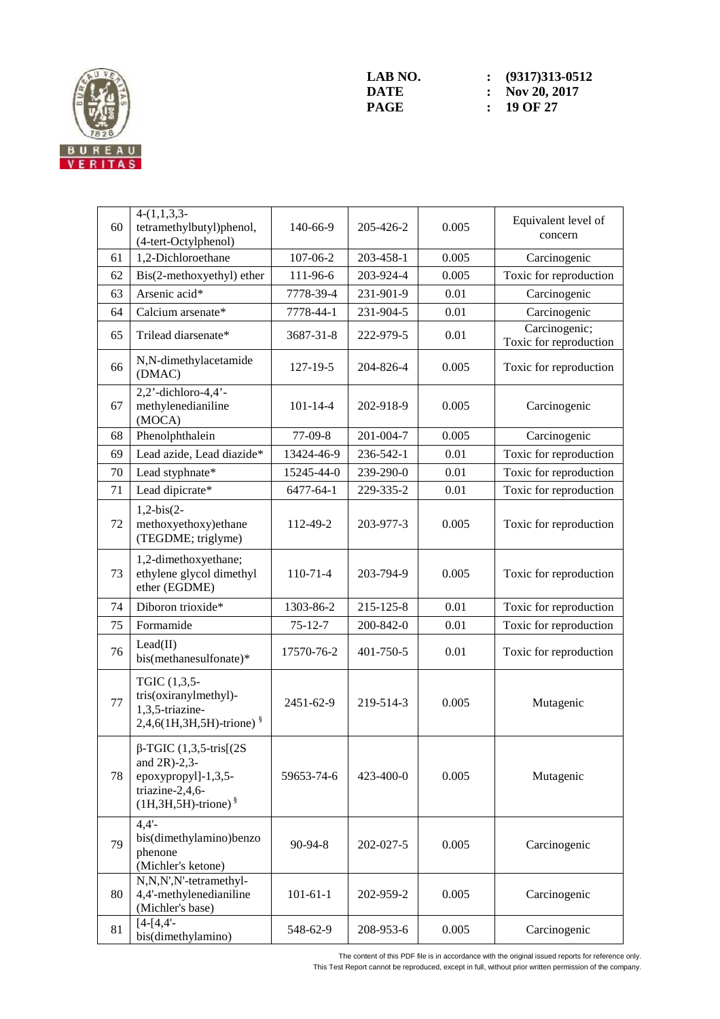

| 60 | $4-(1,1,3,3-$<br>tetramethylbutyl)phenol,<br>(4-tert-Octylphenol)                                                        | 140-66-9       | 205-426-2 | 0.005 | Equivalent level of<br>concern          |
|----|--------------------------------------------------------------------------------------------------------------------------|----------------|-----------|-------|-----------------------------------------|
| 61 | 1,2-Dichloroethane                                                                                                       | 107-06-2       | 203-458-1 | 0.005 | Carcinogenic                            |
| 62 | Bis(2-methoxyethyl) ether                                                                                                | 111-96-6       | 203-924-4 | 0.005 | Toxic for reproduction                  |
| 63 | Arsenic acid*                                                                                                            | 7778-39-4      | 231-901-9 | 0.01  | Carcinogenic                            |
| 64 | Calcium arsenate*                                                                                                        | 7778-44-1      | 231-904-5 | 0.01  | Carcinogenic                            |
| 65 | Trilead diarsenate*                                                                                                      | 3687-31-8      | 222-979-5 | 0.01  | Carcinogenic;<br>Toxic for reproduction |
| 66 | N,N-dimethylacetamide<br>(DMAC)                                                                                          | 127-19-5       | 204-826-4 | 0.005 | Toxic for reproduction                  |
| 67 | $2,2'$ -dichloro-4,4'-<br>methylenedianiline<br>(MOCA)                                                                   | $101 - 14 - 4$ | 202-918-9 | 0.005 | Carcinogenic                            |
| 68 | Phenolphthalein                                                                                                          | 77-09-8        | 201-004-7 | 0.005 | Carcinogenic                            |
| 69 | Lead azide, Lead diazide*                                                                                                | 13424-46-9     | 236-542-1 | 0.01  | Toxic for reproduction                  |
| 70 | Lead styphnate*                                                                                                          | 15245-44-0     | 239-290-0 | 0.01  | Toxic for reproduction                  |
| 71 | Lead dipicrate*                                                                                                          | 6477-64-1      | 229-335-2 | 0.01  | Toxic for reproduction                  |
| 72 | $1,2-bis(2-$<br>methoxyethoxy)ethane<br>(TEGDME; triglyme)                                                               | 112-49-2       | 203-977-3 | 0.005 | Toxic for reproduction                  |
| 73 | 1,2-dimethoxyethane;<br>ethylene glycol dimethyl<br>ether (EGDME)                                                        | $110-71-4$     | 203-794-9 | 0.005 | Toxic for reproduction                  |
| 74 | Diboron trioxide*                                                                                                        | 1303-86-2      | 215-125-8 | 0.01  | Toxic for reproduction                  |
| 75 | Formamide                                                                                                                | $75 - 12 - 7$  | 200-842-0 | 0.01  | Toxic for reproduction                  |
| 76 | Lead(II)<br>bis(methanesulfonate)*                                                                                       | 17570-76-2     | 401-750-5 | 0.01  | Toxic for reproduction                  |
| 77 | TGIC (1,3,5-<br>tris(oxiranylmethyl)-<br>1,3,5-triazine-<br>$2,4,6(1H,3H,5H)$ -trione) $\frac{8}{3}$                     | 2451-62-9      | 219-514-3 | 0.005 | Mutagenic                               |
| 78 | $\beta$ -TGIC (1,3,5-tris[(2S)<br>and $2R$ )-2,3-<br>epoxypropyl]-1,3,5-<br>triazine-2,4,6-<br>$(1H,3H,5H)$ -trione) $§$ | 59653-74-6     | 423-400-0 | 0.005 | Mutagenic                               |
| 79 | $4,4'$ -<br>bis(dimethylamino)benzo<br>phenone<br>(Michler's ketone)                                                     | $90 - 94 - 8$  | 202-027-5 | 0.005 | Carcinogenic                            |
| 80 | N,N,N',N'-tetramethyl-<br>4,4'-methylenedianiline<br>(Michler's base)                                                    | $101 - 61 - 1$ | 202-959-2 | 0.005 | Carcinogenic                            |
| 81 | $[4-[4,4]$ -<br>bis(dimethylamino)                                                                                       | 548-62-9       | 208-953-6 | 0.005 | Carcinogenic                            |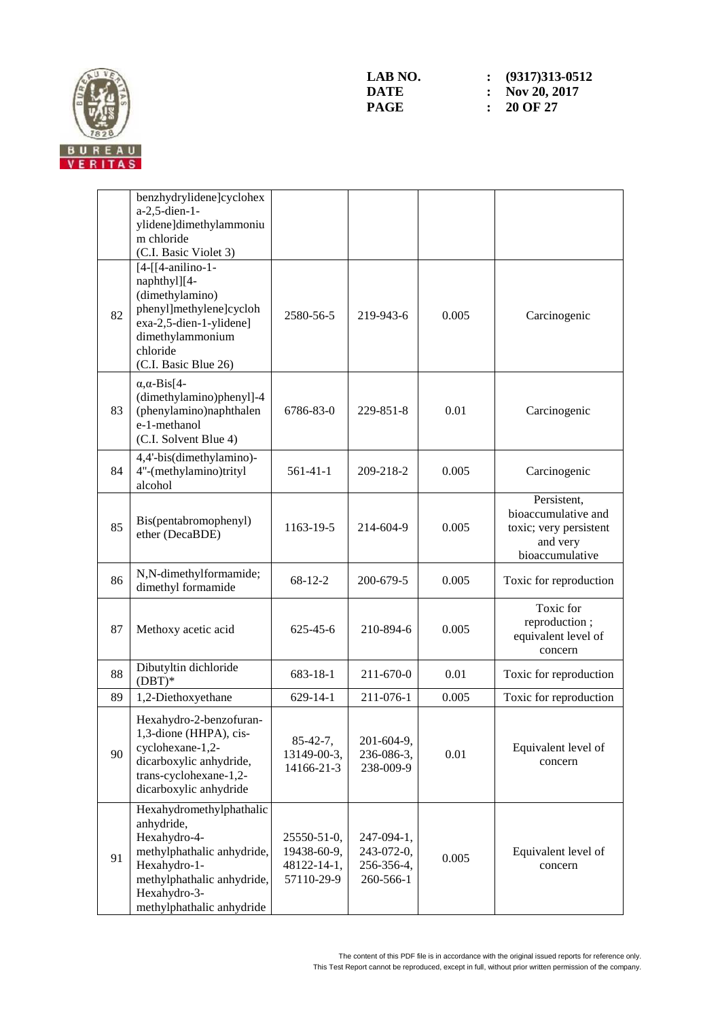

|    | benzhydrylidene]cyclohex<br>a-2,5-dien-1-<br>ylidene]dimethylammoniu<br>m chloride<br>(C.I. Basic Violet 3)                                                                     |                                                         |                                                     |       |                                                                                             |
|----|---------------------------------------------------------------------------------------------------------------------------------------------------------------------------------|---------------------------------------------------------|-----------------------------------------------------|-------|---------------------------------------------------------------------------------------------|
| 82 | $[4-[4-anilino-1-$<br>naphthyl][4-<br>(dimethylamino)<br>phenyl]methylene]cycloh<br>exa-2,5-dien-1-ylidene]<br>dimethylammonium<br>chloride<br>(C.I. Basic Blue 26)             | 2580-56-5                                               | 219-943-6                                           | 0.005 | Carcinogenic                                                                                |
| 83 | $\alpha$ , $\alpha$ -Bis[4-<br>(dimethylamino)phenyl]-4<br>(phenylamino)naphthalen<br>e-1-methanol<br>(C.I. Solvent Blue 4)                                                     | 6786-83-0                                               | 229-851-8                                           | 0.01  | Carcinogenic                                                                                |
| 84 | 4,4'-bis(dimethylamino)-<br>4"-(methylamino)trityl<br>alcohol                                                                                                                   | $561-41-1$                                              | 209-218-2                                           | 0.005 | Carcinogenic                                                                                |
| 85 | Bis(pentabromophenyl)<br>ether (DecaBDE)                                                                                                                                        | 1163-19-5                                               | 214-604-9                                           | 0.005 | Persistent,<br>bioaccumulative and<br>toxic; very persistent<br>and very<br>bioaccumulative |
| 86 | N,N-dimethylformamide;<br>dimethyl formamide                                                                                                                                    | 68-12-2                                                 | 200-679-5                                           | 0.005 | Toxic for reproduction                                                                      |
| 87 | Methoxy acetic acid                                                                                                                                                             | $625 - 45 - 6$                                          | 210-894-6                                           | 0.005 | Toxic for<br>reproduction;<br>equivalent level of<br>concern                                |
| 88 | Dibutyltin dichloride<br>$(DBT)*$                                                                                                                                               | 683-18-1                                                | 211-670-0                                           | 0.01  | Toxic for reproduction                                                                      |
| 89 | 1,2-Diethoxyethane                                                                                                                                                              | $629 - 14 - 1$                                          | 211-076-1                                           | 0.005 | Toxic for reproduction                                                                      |
| 90 | Hexahydro-2-benzofuran-<br>1,3-dione (HHPA), cis-<br>cyclohexane-1,2-<br>dicarboxylic anhydride,<br>trans-cyclohexane-1,2-<br>dicarboxylic anhydride                            | $85 - 42 - 7$ ,<br>13149-00-3,<br>14166-21-3            | 201-604-9,<br>236-086-3,<br>238-009-9               | 0.01  | Equivalent level of<br>concern                                                              |
| 91 | Hexahydromethylphathalic<br>anhydride,<br>Hexahydro-4-<br>methylphathalic anhydride,<br>Hexahydro-1-<br>methylphathalic anhydride,<br>Hexahydro-3-<br>methylphathalic anhydride | 25550-51-0,<br>19438-60-9,<br>48122-14-1,<br>57110-29-9 | 247-094-1,<br>243-072-0,<br>256-356-4,<br>260-566-1 | 0.005 | Equivalent level of<br>concern                                                              |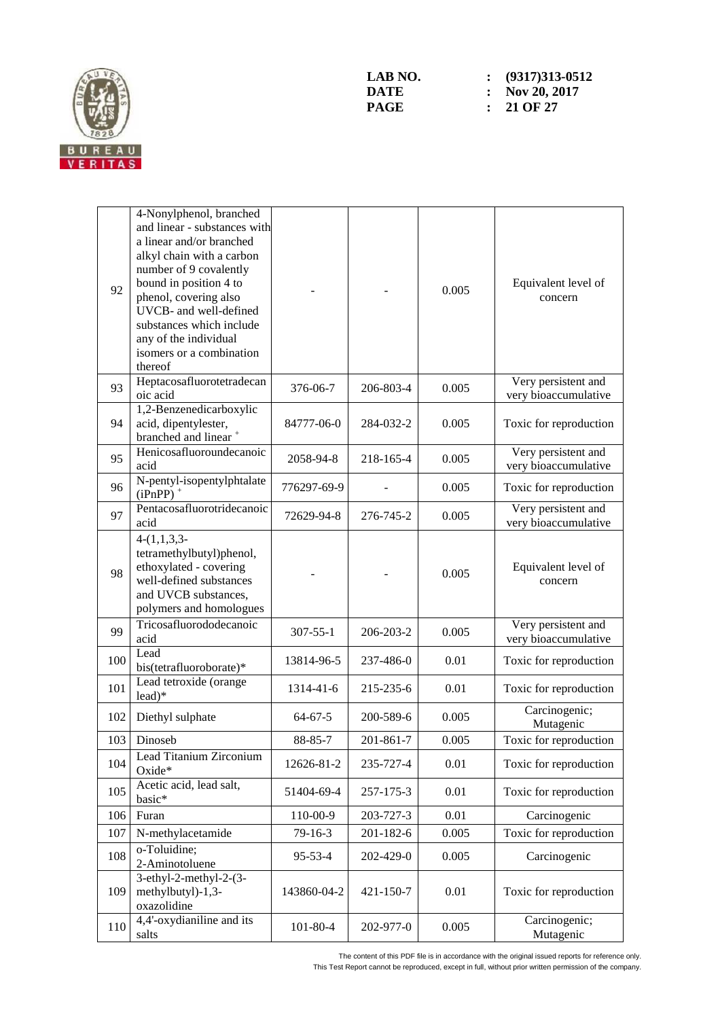

| 92  | 4-Nonylphenol, branched<br>and linear - substances with<br>a linear and/or branched<br>alkyl chain with a carbon<br>number of 9 covalently<br>bound in position 4 to<br>phenol, covering also<br>UVCB- and well-defined<br>substances which include<br>any of the individual<br>isomers or a combination<br>thereof |                |           | 0.005 | Equivalent level of<br>concern              |
|-----|---------------------------------------------------------------------------------------------------------------------------------------------------------------------------------------------------------------------------------------------------------------------------------------------------------------------|----------------|-----------|-------|---------------------------------------------|
| 93  | Heptacosafluorotetradecan<br>oic acid                                                                                                                                                                                                                                                                               | 376-06-7       | 206-803-4 | 0.005 | Very persistent and<br>very bioaccumulative |
| 94  | 1,2-Benzenedicarboxylic<br>acid, dipentylester,<br>branched and linear <sup>+</sup>                                                                                                                                                                                                                                 | 84777-06-0     | 284-032-2 | 0.005 | Toxic for reproduction                      |
| 95  | Henicosafluoroundecanoic<br>acid                                                                                                                                                                                                                                                                                    | 2058-94-8      | 218-165-4 | 0.005 | Very persistent and<br>very bioaccumulative |
| 96  | N-pentyl-isopentylphtalate<br>$(iPnPP)$ <sup>+</sup>                                                                                                                                                                                                                                                                | 776297-69-9    |           | 0.005 | Toxic for reproduction                      |
| 97  | Pentacosafluorotridecanoic<br>acid                                                                                                                                                                                                                                                                                  | 72629-94-8     | 276-745-2 | 0.005 | Very persistent and<br>very bioaccumulative |
| 98  | $4-(1,1,3,3-$<br>tetramethylbutyl)phenol,<br>ethoxylated - covering<br>well-defined substances<br>and UVCB substances,<br>polymers and homologues                                                                                                                                                                   |                |           | 0.005 | Equivalent level of<br>concern              |
| 99  | Tricosafluorododecanoic<br>acid                                                                                                                                                                                                                                                                                     | $307 - 55 - 1$ | 206-203-2 | 0.005 | Very persistent and<br>very bioaccumulative |
| 100 | Lead<br>bis(tetrafluoroborate)*                                                                                                                                                                                                                                                                                     | 13814-96-5     | 237-486-0 | 0.01  | Toxic for reproduction                      |
| 101 | Lead tetroxide (orange<br>$lead)*$                                                                                                                                                                                                                                                                                  | 1314-41-6      | 215-235-6 | 0.01  | Toxic for reproduction                      |
| 102 | Diethyl sulphate                                                                                                                                                                                                                                                                                                    | $64 - 67 - 5$  | 200-589-6 | 0.005 | Carcinogenic;<br>Mutagenic                  |
| 103 | Dinoseb                                                                                                                                                                                                                                                                                                             | 88-85-7        | 201-861-7 | 0.005 | Toxic for reproduction                      |
| 104 | Lead Titanium Zirconium<br>Oxide*                                                                                                                                                                                                                                                                                   | 12626-81-2     | 235-727-4 | 0.01  | Toxic for reproduction                      |
| 105 | Acetic acid, lead salt,<br>basic*                                                                                                                                                                                                                                                                                   | 51404-69-4     | 257-175-3 | 0.01  | Toxic for reproduction                      |
| 106 | Furan                                                                                                                                                                                                                                                                                                               | 110-00-9       | 203-727-3 | 0.01  | Carcinogenic                                |
| 107 | N-methylacetamide                                                                                                                                                                                                                                                                                                   | $79 - 16 - 3$  | 201-182-6 | 0.005 | Toxic for reproduction                      |
| 108 | o-Toluidine;<br>2-Aminotoluene                                                                                                                                                                                                                                                                                      | $95 - 53 - 4$  | 202-429-0 | 0.005 | Carcinogenic                                |
| 109 | $3-ethyl-2-methyl-2-(3-$<br>methylbutyl)-1,3-<br>oxazolidine                                                                                                                                                                                                                                                        | 143860-04-2    | 421-150-7 | 0.01  | Toxic for reproduction                      |
| 110 | 4,4'-oxydianiline and its<br>salts                                                                                                                                                                                                                                                                                  | $101 - 80 - 4$ | 202-977-0 | 0.005 | Carcinogenic;<br>Mutagenic                  |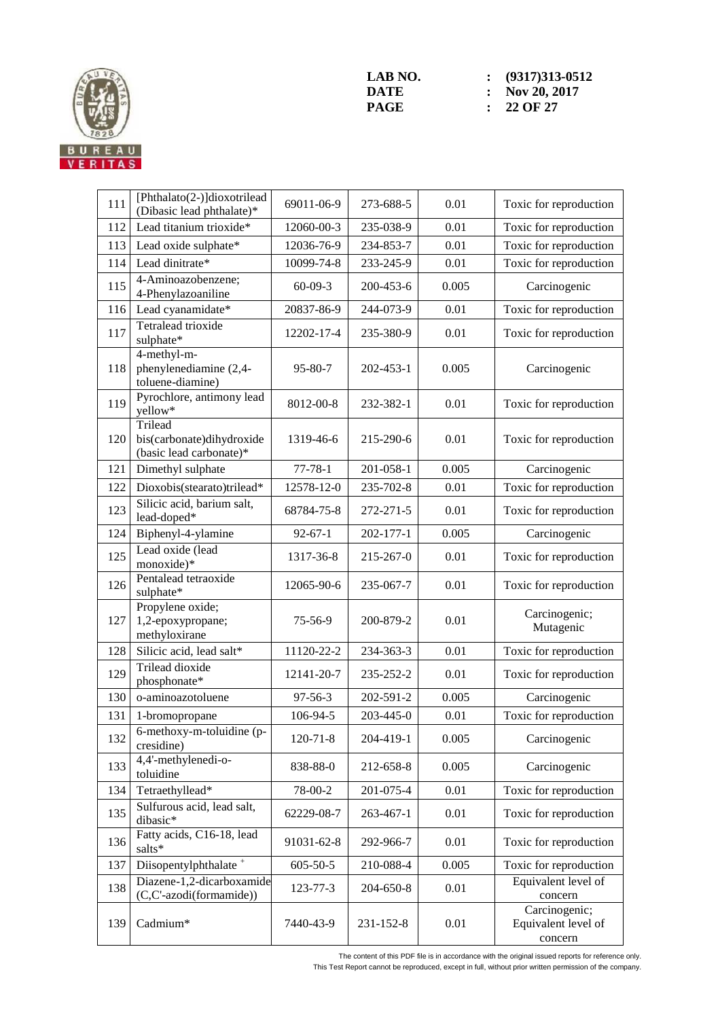

**LAB NO.** : (9317)313-0512<br> **DATE** : Nov 20, 2017 **DATE : Nov 20, 2017**<br>**PAGE :** 22 OF 27 **PAGE : 22 OF 27** 

| 111 | [Phthalato(2-)]dioxotrilead<br>(Dibasic lead phthalate)*        | 69011-06-9     | 273-688-5 | 0.01  | Toxic for reproduction                          |
|-----|-----------------------------------------------------------------|----------------|-----------|-------|-------------------------------------------------|
| 112 | Lead titanium trioxide*                                         | 12060-00-3     | 235-038-9 | 0.01  | Toxic for reproduction                          |
| 113 | Lead oxide sulphate*                                            | 12036-76-9     | 234-853-7 | 0.01  | Toxic for reproduction                          |
| 114 | Lead dinitrate*                                                 | 10099-74-8     | 233-245-9 | 0.01  | Toxic for reproduction                          |
| 115 | 4-Aminoazobenzene;<br>4-Phenylazoaniline                        | $60-09-3$      | 200-453-6 | 0.005 | Carcinogenic                                    |
| 116 | Lead cyanamidate*                                               | 20837-86-9     | 244-073-9 | 0.01  | Toxic for reproduction                          |
| 117 | Tetralead trioxide<br>sulphate*                                 | 12202-17-4     | 235-380-9 | 0.01  | Toxic for reproduction                          |
| 118 | 4-methyl-m-<br>phenylenediamine (2,4-<br>toluene-diamine)       | $95 - 80 - 7$  | 202-453-1 | 0.005 | Carcinogenic                                    |
| 119 | Pyrochlore, antimony lead<br>yellow*                            | 8012-00-8      | 232-382-1 | 0.01  | Toxic for reproduction                          |
| 120 | Trilead<br>bis(carbonate)dihydroxide<br>(basic lead carbonate)* | 1319-46-6      | 215-290-6 | 0.01  | Toxic for reproduction                          |
| 121 | Dimethyl sulphate                                               | $77 - 78 - 1$  | 201-058-1 | 0.005 | Carcinogenic                                    |
| 122 | Dioxobis(stearato)trilead*                                      | 12578-12-0     | 235-702-8 | 0.01  | Toxic for reproduction                          |
| 123 | Silicic acid, barium salt,<br>lead-doped*                       | 68784-75-8     | 272-271-5 | 0.01  | Toxic for reproduction                          |
| 124 | Biphenyl-4-ylamine                                              | $92 - 67 - 1$  | 202-177-1 | 0.005 | Carcinogenic                                    |
| 125 | Lead oxide (lead<br>monoxide)*                                  | 1317-36-8      | 215-267-0 | 0.01  | Toxic for reproduction                          |
| 126 | Pentalead tetraoxide<br>sulphate*                               | 12065-90-6     | 235-067-7 | 0.01  | Toxic for reproduction                          |
| 127 | Propylene oxide;<br>1,2-epoxypropane;<br>methyloxirane          | $75 - 56 - 9$  | 200-879-2 | 0.01  | Carcinogenic;<br>Mutagenic                      |
| 128 | Silicic acid, lead salt*                                        | 11120-22-2     | 234-363-3 | 0.01  | Toxic for reproduction                          |
| 129 | Trilead dioxide<br>phosphonate*                                 | 12141-20-7     | 235-252-2 | 0.01  | Toxic for reproduction                          |
| 130 | o-aminoazotoluene                                               | 97-56-3        | 202-591-2 | 0.005 | Carcinogenic                                    |
| 131 | 1-bromopropane                                                  | 106-94-5       | 203-445-0 | 0.01  | Toxic for reproduction                          |
| 132 | $6$ -methoxy-m-toluidine (p-<br>cresidine)                      | $120 - 71 - 8$ | 204-419-1 | 0.005 | Carcinogenic                                    |
| 133 | 4,4'-methylenedi-o-<br>toluidine                                | 838-88-0       | 212-658-8 | 0.005 | Carcinogenic                                    |
| 134 | Tetraethyllead*                                                 | 78-00-2        | 201-075-4 | 0.01  | Toxic for reproduction                          |
| 135 | Sulfurous acid, lead salt,<br>dibasic*                          | 62229-08-7     | 263-467-1 | 0.01  | Toxic for reproduction                          |
| 136 | Fatty acids, C16-18, lead<br>salts*                             | 91031-62-8     | 292-966-7 | 0.01  | Toxic for reproduction                          |
| 137 | Diisopentylphthalate <sup>+</sup>                               | $605 - 50 - 5$ | 210-088-4 | 0.005 | Toxic for reproduction                          |
| 138 | Diazene-1,2-dicarboxamide<br>(C,C'-azodi(formamide))            | 123-77-3       | 204-650-8 | 0.01  | Equivalent level of<br>concern                  |
| 139 | Cadmium*                                                        | 7440-43-9      | 231-152-8 | 0.01  | Carcinogenic;<br>Equivalent level of<br>concern |

The content of this PDF file is in accordance with the original issued reports for reference only.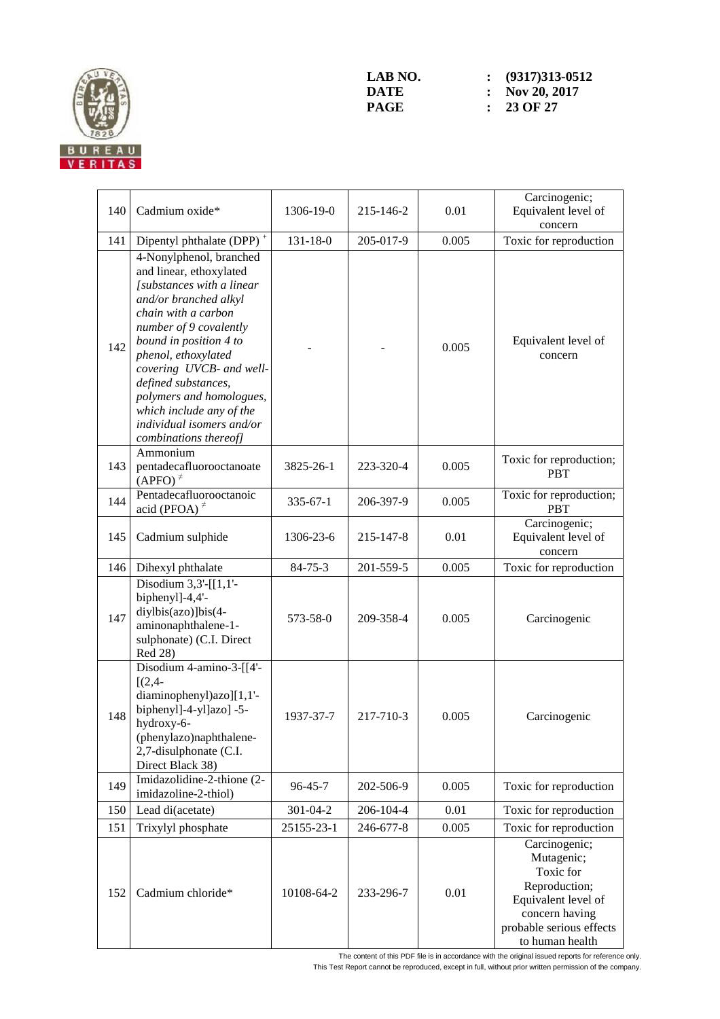

| 140 | Cadmium oxide*                                                                                                                                                                                                                                                                                                                                                              | 1306-19-0      | 215-146-2 | 0.01  | Carcinogenic;<br>Equivalent level of<br>concern                                                                                                   |
|-----|-----------------------------------------------------------------------------------------------------------------------------------------------------------------------------------------------------------------------------------------------------------------------------------------------------------------------------------------------------------------------------|----------------|-----------|-------|---------------------------------------------------------------------------------------------------------------------------------------------------|
| 141 | Dipentyl phthalate (DPP) <sup>+</sup>                                                                                                                                                                                                                                                                                                                                       | $131 - 18 - 0$ | 205-017-9 | 0.005 | Toxic for reproduction                                                                                                                            |
| 142 | 4-Nonylphenol, branched<br>and linear, ethoxylated<br>[substances with a linear<br>and/or branched alkyl<br>chain with a carbon<br>number of 9 covalently<br>bound in position 4 to<br>phenol, ethoxylated<br>covering UVCB- and well-<br>defined substances,<br>polymers and homologues,<br>which include any of the<br>individual isomers and/or<br>combinations thereof] |                |           | 0.005 | Equivalent level of<br>concern                                                                                                                    |
| 143 | Ammonium<br>pentadecafluorooctanoate<br>$(APFO)^{\neq}$                                                                                                                                                                                                                                                                                                                     | 3825-26-1      | 223-320-4 | 0.005 | Toxic for reproduction;<br><b>PBT</b>                                                                                                             |
| 144 | Pentadecafluorooctanoic<br>acid (PFOA) $\neq$                                                                                                                                                                                                                                                                                                                               | $335 - 67 - 1$ | 206-397-9 | 0.005 | Toxic for reproduction;<br><b>PBT</b>                                                                                                             |
| 145 | Cadmium sulphide                                                                                                                                                                                                                                                                                                                                                            | 1306-23-6      | 215-147-8 | 0.01  | Carcinogenic;<br>Equivalent level of<br>concern                                                                                                   |
| 146 | Dihexyl phthalate                                                                                                                                                                                                                                                                                                                                                           | $84 - 75 - 3$  | 201-559-5 | 0.005 | Toxic for reproduction                                                                                                                            |
| 147 | Disodium $3,3'$ -[[ $1,1'$ -<br>biphenyl]-4,4'-<br>diylbis(azo)]bis(4-<br>aminonaphthalene-1-<br>sulphonate) (C.I. Direct<br>Red 28)                                                                                                                                                                                                                                        | 573-58-0       | 209-358-4 | 0.005 | Carcinogenic                                                                                                                                      |
| 148 | Disodium 4-amino-3-[[4'-<br>$[(2,4 -$<br>diaminophenyl)azo][1,1'-<br>biphenyl]-4-yl]azo] -5-<br>hydroxy-6-<br>(phenylazo)naphthalene-<br>2,7-disulphonate (C.I.<br>Direct Black 38)                                                                                                                                                                                         | 1937-37-7      | 217-710-3 | 0.005 | Carcinogenic                                                                                                                                      |
| 149 | Imidazolidine-2-thione (2-<br>imidazoline-2-thiol)                                                                                                                                                                                                                                                                                                                          | 96-45-7        | 202-506-9 | 0.005 | Toxic for reproduction                                                                                                                            |
| 150 | Lead di(acetate)                                                                                                                                                                                                                                                                                                                                                            | $301 - 04 - 2$ | 206-104-4 | 0.01  | Toxic for reproduction                                                                                                                            |
| 151 | Trixylyl phosphate                                                                                                                                                                                                                                                                                                                                                          | 25155-23-1     | 246-677-8 | 0.005 | Toxic for reproduction                                                                                                                            |
| 152 | Cadmium chloride*                                                                                                                                                                                                                                                                                                                                                           | 10108-64-2     | 233-296-7 | 0.01  | Carcinogenic;<br>Mutagenic;<br>Toxic for<br>Reproduction;<br>Equivalent level of<br>concern having<br>probable serious effects<br>to human health |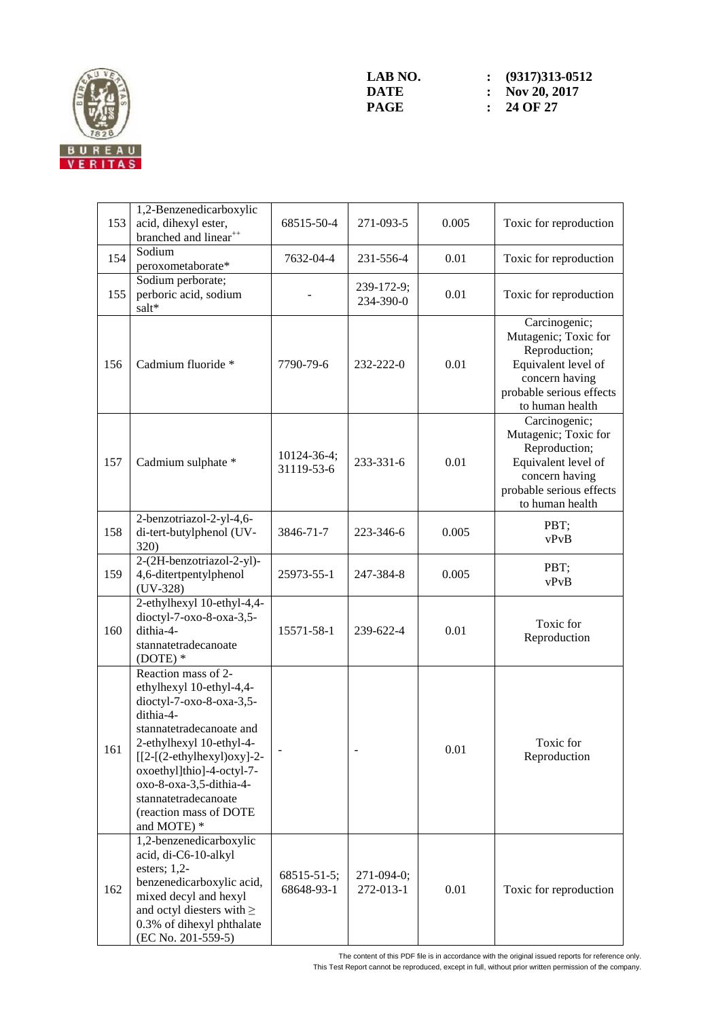

| 153 | 1,2-Benzenedicarboxylic<br>acid, dihexyl ester,<br>branched and linear <sup>++</sup>                                                                                                                                                                                                                     | 68515-50-4                | 271-093-5               | 0.005 | Toxic for reproduction                                                                                                                         |
|-----|----------------------------------------------------------------------------------------------------------------------------------------------------------------------------------------------------------------------------------------------------------------------------------------------------------|---------------------------|-------------------------|-------|------------------------------------------------------------------------------------------------------------------------------------------------|
| 154 | Sodium<br>peroxometaborate*                                                                                                                                                                                                                                                                              | 7632-04-4                 | 231-556-4               | 0.01  | Toxic for reproduction                                                                                                                         |
| 155 | Sodium perborate;<br>perboric acid, sodium<br>salt*                                                                                                                                                                                                                                                      |                           | 239-172-9;<br>234-390-0 | 0.01  | Toxic for reproduction                                                                                                                         |
| 156 | Cadmium fluoride *                                                                                                                                                                                                                                                                                       | 7790-79-6                 | 232-222-0               | 0.01  | Carcinogenic;<br>Mutagenic; Toxic for<br>Reproduction;<br>Equivalent level of<br>concern having<br>probable serious effects<br>to human health |
| 157 | Cadmium sulphate *                                                                                                                                                                                                                                                                                       | 10124-36-4;<br>31119-53-6 | 233-331-6               | 0.01  | Carcinogenic;<br>Mutagenic; Toxic for<br>Reproduction;<br>Equivalent level of<br>concern having<br>probable serious effects<br>to human health |
| 158 | 2-benzotriazol-2-yl-4,6-<br>di-tert-butylphenol (UV-<br>320)                                                                                                                                                                                                                                             | 3846-71-7                 | 223-346-6               | 0.005 | PBT;<br>vPvB                                                                                                                                   |
| 159 | 2-(2H-benzotriazol-2-yl)-<br>4,6-ditertpentylphenol<br>$(UV-328)$                                                                                                                                                                                                                                        | 25973-55-1                | 247-384-8               | 0.005 | PBT;<br>vPvB                                                                                                                                   |
| 160 | 2-ethylhexyl 10-ethyl-4,4-<br>dioctyl-7-oxo-8-oxa-3,5-<br>dithia-4-<br>stannatetradecanoate<br>$(DOTE)*$                                                                                                                                                                                                 | 15571-58-1                | 239-622-4               | 0.01  | Toxic for<br>Reproduction                                                                                                                      |
| 161 | Reaction mass of 2-<br>ethylhexyl 10-ethyl-4,4-<br>dioctyl-7-oxo-8-oxa-3,5-<br>dithia-4-<br>stannatetradecanoate and<br>2-ethylhexyl 10-ethyl-4-<br>$[[2-(2-ethylhexyl)oxy]-2-$<br>oxoethyl]thio]-4-octyl-7-<br>oxo-8-oxa-3,5-dithia-4-<br>stannatetradecanoate<br>(reaction mass of DOTE<br>and MOTE) * |                           |                         | 0.01  | Toxic for<br>Reproduction                                                                                                                      |
| 162 | 1,2-benzenedicarboxylic<br>acid, di-C6-10-alkyl<br>esters; $1,2$ -<br>benzenedicarboxylic acid,<br>mixed decyl and hexyl<br>and octyl diesters with $\geq$<br>0.3% of dihexyl phthalate<br>(EC No. 201-559-5)                                                                                            | 68515-51-5;<br>68648-93-1 | 271-094-0;<br>272-013-1 | 0.01  | Toxic for reproduction                                                                                                                         |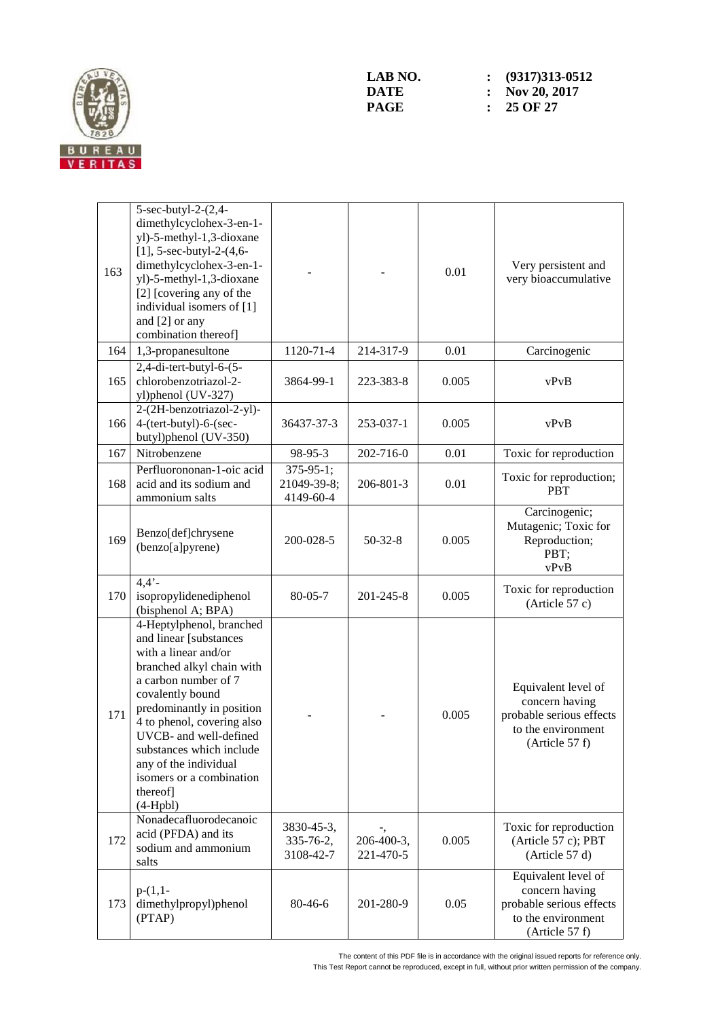

| 163 | $5$ -sec-butyl-2- $(2,4-$<br>dimethylcyclohex-3-en-1-<br>yl)-5-methyl-1,3-dioxane<br>$[1]$ , 5-sec-butyl-2- $(4, 6-$<br>dimethylcyclohex-3-en-1-<br>yl)-5-methyl-1,3-dioxane<br>[2] [covering any of the<br>individual isomers of [1]<br>and [2] or any<br>combination thereof]                                                                     |                                              |                         | 0.01  | Very persistent and<br>very bioaccumulative                                                               |
|-----|-----------------------------------------------------------------------------------------------------------------------------------------------------------------------------------------------------------------------------------------------------------------------------------------------------------------------------------------------------|----------------------------------------------|-------------------------|-------|-----------------------------------------------------------------------------------------------------------|
| 164 | 1,3-propanesultone                                                                                                                                                                                                                                                                                                                                  | 1120-71-4                                    | 214-317-9               | 0.01  | Carcinogenic                                                                                              |
| 165 | $2,4$ -di-tert-butyl-6- $(5-$<br>chlorobenzotriazol-2-<br>yl)phenol (UV-327)                                                                                                                                                                                                                                                                        | 3864-99-1                                    | 223-383-8               | 0.005 | vPvB                                                                                                      |
| 166 | 2-(2H-benzotriazol-2-yl)-<br>4-(tert-butyl)-6-(sec-<br>butyl)phenol (UV-350)                                                                                                                                                                                                                                                                        | 36437-37-3                                   | 253-037-1               | 0.005 | vPvB                                                                                                      |
| 167 | Nitrobenzene                                                                                                                                                                                                                                                                                                                                        | 98-95-3                                      | 202-716-0               | 0.01  | Toxic for reproduction                                                                                    |
| 168 | Perfluorononan-1-oic acid<br>acid and its sodium and<br>ammonium salts                                                                                                                                                                                                                                                                              | $375 - 95 - 1$ ;<br>21049-39-8;<br>4149-60-4 | 206-801-3               | 0.01  | Toxic for reproduction;<br><b>PBT</b>                                                                     |
| 169 | Benzo[def]chrysene<br>(benzo[a]pyrene)                                                                                                                                                                                                                                                                                                              | 200-028-5                                    | $50 - 32 - 8$           | 0.005 | Carcinogenic;<br>Mutagenic; Toxic for<br>Reproduction;<br>PBT;<br>vPvB                                    |
| 170 | $4,4'$ -<br>isopropylidenediphenol<br>(bisphenol A; BPA)                                                                                                                                                                                                                                                                                            | $80 - 05 - 7$                                | 201-245-8               | 0.005 | Toxic for reproduction<br>(Article 57 c)                                                                  |
| 171 | 4-Heptylphenol, branched<br>and linear [substances<br>with a linear and/or<br>branched alkyl chain with<br>a carbon number of 7<br>covalently bound<br>predominantly in position<br>4 to phenol, covering also<br>UVCB- and well-defined<br>substances which include<br>any of the individual<br>isomers or a combination<br>thereof]<br>$(4-Hpbl)$ |                                              |                         | 0.005 | Equivalent level of<br>concern having<br>probable serious effects<br>to the environment<br>(Article 57 f) |
| 172 | Nonadecafluorodecanoic<br>acid (PFDA) and its<br>sodium and ammonium<br>salts                                                                                                                                                                                                                                                                       | 3830-45-3,<br>335-76-2,<br>3108-42-7         | 206-400-3,<br>221-470-5 | 0.005 | Toxic for reproduction<br>(Article 57 c); PBT<br>(Article 57 d)                                           |
| 173 | $p-(1,1-$<br>dimethylpropyl)phenol<br>(PTAP)                                                                                                                                                                                                                                                                                                        | 80-46-6                                      | 201-280-9               | 0.05  | Equivalent level of<br>concern having<br>probable serious effects<br>to the environment<br>(Article 57 f) |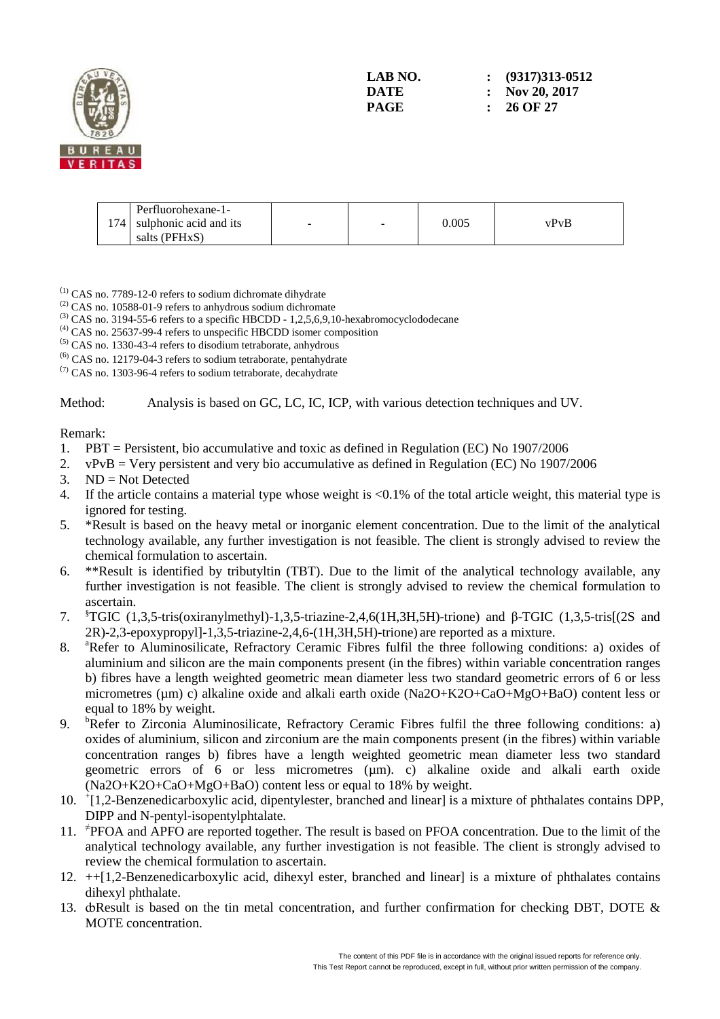

| Perfluorohexane-1-<br>174 sulphonic acid and its<br>salts (PFHxS) | - | - | 0.005 | vPvB |
|-------------------------------------------------------------------|---|---|-------|------|

(1) CAS no. 7789-12-0 refers to sodium dichromate dihydrate

- $(2)$  CAS no. 10588-01-9 refers to anhydrous sodium dichromate
- $^{(3)}$  CAS no. 3194-55-6 refers to a specific HBCDD 1,2,5,6,9,10-hexabromocyclododecane
- (4) CAS no. 25637-99-4 refers to unspecific HBCDD isomer composition
- (5) CAS no. 1330-43-4 refers to disodium tetraborate, anhydrous
- (6) CAS no. 12179-04-3 refers to sodium tetraborate, pentahydrate
- $(7)$  CAS no. 1303-96-4 refers to sodium tetraborate, decahydrate

Method: Analysis is based on GC, LC, IC, ICP, with various detection techniques and UV.

#### Remark:

- 1. PBT = Persistent, bio accumulative and toxic as defined in Regulation (EC) No 1907/2006
- 2. vPvB = Very persistent and very bio accumulative as defined in Regulation (EC) No  $1907/2006$
- 3. ND = Not Detected
- 4. If the article contains a material type whose weight is <0.1% of the total article weight, this material type is ignored for testing.
- 5. \*Result is based on the heavy metal or inorganic element concentration. Due to the limit of the analytical technology available, any further investigation is not feasible. The client is strongly advised to review the chemical formulation to ascertain.
- 6. \*\*Result is identified by tributyltin (TBT). Due to the limit of the analytical technology available, any further investigation is not feasible. The client is strongly advised to review the chemical formulation to ascertain.
- 7. §TGIC (1,3,5-tris(oxiranylmethyl)-1,3,5-triazine-2,4,6(1H,3H,5H)-trione) and β-TGIC (1,3,5-tris[(2S and 2R)-2,3-epoxypropyl]-1,3,5-triazine-2,4,6-(1H,3H,5H)-trione) are reported as a mixture.
- 8. <sup>a</sup>Refer to Aluminosilicate, Refractory Ceramic Fibres fulfil the three following conditions: a) oxides of aluminium and silicon are the main components present (in the fibres) within variable concentration ranges b) fibres have a length weighted geometric mean diameter less two standard geometric errors of 6 or less micrometres (µm) c) alkaline oxide and alkali earth oxide (Na2O+K2O+CaO+MgO+BaO) content less or equal to 18% by weight.
- 9. <sup>b</sup>Refer to Zirconia Aluminosilicate, Refractory Ceramic Fibres fulfil the three following conditions: a) oxides of aluminium, silicon and zirconium are the main components present (in the fibres) within variable concentration ranges b) fibres have a length weighted geometric mean diameter less two standard geometric errors of 6 or less micrometres (µm). c) alkaline oxide and alkali earth oxide (Na2O+K2O+CaO+MgO+BaO) content less or equal to 18% by weight.
- 10. <sup>+</sup> [1,2-Benzenedicarboxylic acid, dipentylester, branched and linear] is a mixture of phthalates contains DPP, DIPP and N-pentyl-isopentylphtalate.
- 11. <sup>≠</sup> PFOA and APFO are reported together. The result is based on PFOA concentration. Due to the limit of the analytical technology available, any further investigation is not feasible. The client is strongly advised to review the chemical formulation to ascertain.
- 12. ++[1,2-Benzenedicarboxylic acid, dihexyl ester, branched and linear] is a mixture of phthalates contains dihexyl phthalate.
- 13. do Result is based on the tin metal concentration, and further confirmation for checking DBT, DOTE & MOTE concentration.